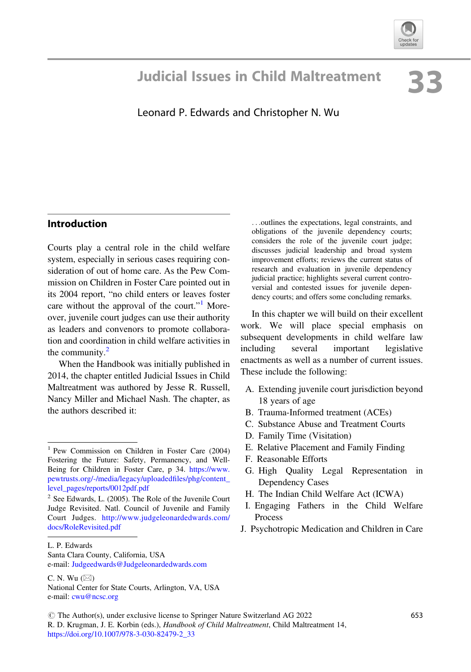

# **Judicial Issues in Child Maltreatment**

Leonard P. Edwards and Christopher N. Wu

# Introduction

Courts play a central role in the child welfare system, especially in serious cases requiring consideration of out of home care. As the Pew Commission on Children in Foster Care pointed out in its 2004 report, "no child enters or leaves foster care without the approval of the court."<sup>1</sup> Moreover, juvenile court judges can use their authority as leaders and convenors to promote collaboration and coordination in child welfare activities in the community.<sup>2</sup>

When the Handbook was initially published in 2014, the chapter entitled Judicial Issues in Child Maltreatment was authored by Jesse R. Russell, Nancy Miller and Michael Nash. The chapter, as the authors described it:

L. P. Edwards

Santa Clara County, California, USA e-mail: [Judgeedwards@Judgeleonardedwards.com](mailto:Judgeedwards@Judgeleonardedwards.com)

...outlines the expectations, legal constraints, and obligations of the juvenile dependency courts; considers the role of the juvenile court judge; discusses judicial leadership and broad system improvement efforts; reviews the current status of research and evaluation in juvenile dependency judicial practice; highlights several current controversial and contested issues for juvenile dependency courts; and offers some concluding remarks.

In this chapter we will build on their excellent work. We will place special emphasis on subsequent developments in child welfare law including several important legislative enactments as well as a number of current issues. These include the following:

- A. Extending juvenile court jurisdiction beyond 18 years of age
- B. Trauma-Informed treatment (ACEs)
- C. Substance Abuse and Treatment Courts
- D. Family Time (Visitation)
- E. Relative Placement and Family Finding
- F. Reasonable Efforts
- G. High Quality Legal Representation in Dependency Cases
- H. The Indian Child Welfare Act (ICWA)
- I. Engaging Fathers in the Child Welfare Process
- J. Psychotropic Medication and Children in Care

<sup>1</sup> Pew Commission on Children in Foster Care (2004) Fostering the Future: Safety, Permanency, and Well-Being for Children in Foster Care, p 34. [https://www.](https://www.pewtrusts.org/-/media/legacy/uploadedfiles/phg/content_level_pages/reports/0012pdf.pdf) [pewtrusts.org/-/media/legacy/uploaded](https://www.pewtrusts.org/-/media/legacy/uploadedfiles/phg/content_level_pages/reports/0012pdf.pdf)files/phg/content\_ [level\\_pages/reports/0012pdf.pdf](https://www.pewtrusts.org/-/media/legacy/uploadedfiles/phg/content_level_pages/reports/0012pdf.pdf)

<sup>2</sup> See Edwards, L. (2005). The Role of the Juvenile Court Judge Revisited. Natl. Council of Juvenile and Family Court Judges. [http://www.judgeleonardedwards.com/](http://www.judgeleonardedwards.com/docs/RoleRevisited.pdf) [docs/RoleRevisited.pdf](http://www.judgeleonardedwards.com/docs/RoleRevisited.pdf)

C. N. Wu  $(\boxtimes)$ National Center for State Courts, Arlington, VA, USA e-mail: [cwu@ncsc.org](mailto:cwu@ncsc.org)

 $\circ$  The Author(s), under exclusive license to Springer Nature Switzerland AG 2022 R. D. Krugman, J. E. Korbin (eds.), Handbook of Child Maltreatment, Child Maltreatment 14, [https://doi.org/10.1007/978-3-030-82479-2\\_33](https://doi.org/10.1007/978-3-030-82479-2_33#DOI)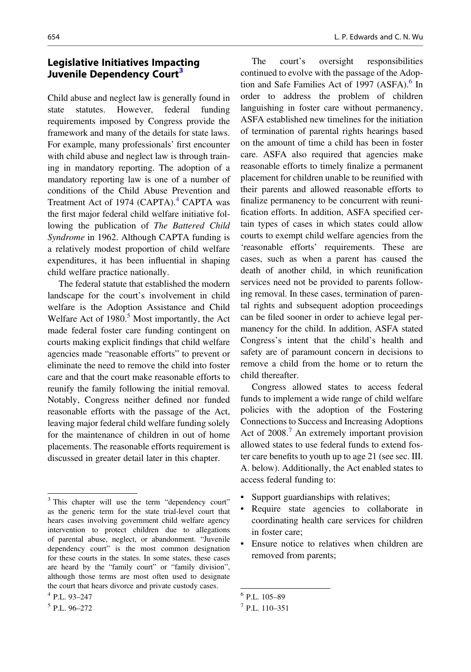## Legislative Initiatives Impacting Juvenile Dependency Court<sup>3</sup>

Child abuse and neglect law is generally found in state statutes. However, federal funding requirements imposed by Congress provide the framework and many of the details for state laws. For example, many professionals' first encounter with child abuse and neglect law is through training in mandatory reporting. The adoption of a mandatory reporting law is one of a number of conditions of the Child Abuse Prevention and Treatment Act of 1974 (CAPTA).<sup>4</sup> CAPTA was the first major federal child welfare initiative following the publication of The Battered Child Syndrome in 1962. Although CAPTA funding is a relatively modest proportion of child welfare expenditures, it has been influential in shaping child welfare practice nationally.

The federal statute that established the modern landscape for the court's involvement in child welfare is the Adoption Assistance and Child Welfare Act of  $1980<sup>5</sup>$  Most importantly, the Act made federal foster care funding contingent on courts making explicit findings that child welfare agencies made "reasonable efforts" to prevent or eliminate the need to remove the child into foster care and that the court make reasonable efforts to reunify the family following the initial removal. Notably, Congress neither defined nor funded reasonable efforts with the passage of the Act, leaving major federal child welfare funding solely for the maintenance of children in out of home placements. The reasonable efforts requirement is discussed in greater detail later in this chapter.

The court's oversight responsibilities continued to evolve with the passage of the Adoption and Safe Families Act of 1997 (ASFA).<sup>6</sup> In order to address the problem of children languishing in foster care without permanency, ASFA established new timelines for the initiation of termination of parental rights hearings based on the amount of time a child has been in foster care. ASFA also required that agencies make reasonable efforts to timely finalize a permanent placement for children unable to be reunified with their parents and allowed reasonable efforts to finalize permanency to be concurrent with reunification efforts. In addition, ASFA specified certain types of cases in which states could allow courts to exempt child welfare agencies from the 'reasonable efforts' requirements. These are cases, such as when a parent has caused the death of another child, in which reunification services need not be provided to parents following removal. In these cases, termination of parental rights and subsequent adoption proceedings can be filed sooner in order to achieve legal permanency for the child. In addition, ASFA stated Congress's intent that the child's health and safety are of paramount concern in decisions to remove a child from the home or to return the

Congress allowed states to access federal funds to implement a wide range of child welfare policies with the adoption of the Fostering Connections to Success and Increasing Adoptions Act of  $2008<sup>7</sup>$  An extremely important provision allowed states to use federal funds to extend foster care benefits to youth up to age 21 (see sec. III. A. below). Additionally, the Act enabled states to access federal funding to:

- Support guardianships with relatives;
- Require state agencies to collaborate in coordinating health care services for children in foster care;
- Ensure notice to relatives when children are removed from parents;

child thereafter.

<sup>&</sup>lt;sup>3</sup> This chapter will use the term "dependency court" as the generic term for the state trial-level court that hears cases involving government child welfare agency intervention to protect children due to allegations of parental abuse, neglect, or abandonment. "Juvenile dependency court" is the most common designation for these courts in the states. In some states, these cases are heard by the "family court" or "family division", although those terms are most often used to designate the court that hears divorce and private custody cases.

<sup>4</sup> P.L. 93–247

<sup>5</sup> P.L. 96–272

<sup>6</sup> P.L. 105–89

 $^7$  P.L. 110–351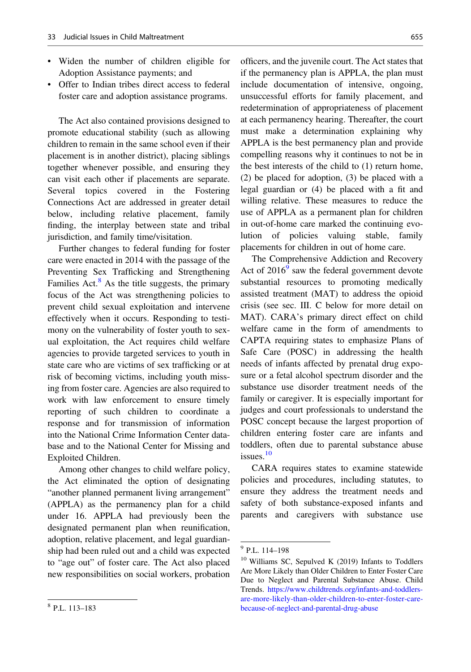- Widen the number of children eligible for Adoption Assistance payments; and
- Offer to Indian tribes direct access to federal foster care and adoption assistance programs.

The Act also contained provisions designed to promote educational stability (such as allowing children to remain in the same school even if their placement is in another district), placing siblings together whenever possible, and ensuring they can visit each other if placements are separate. Several topics covered in the Fostering Connections Act are addressed in greater detail below, including relative placement, family finding, the interplay between state and tribal jurisdiction, and family time/visitation.

Further changes to federal funding for foster care were enacted in 2014 with the passage of the Preventing Sex Trafficking and Strengthening Families Act. $8$  As the title suggests, the primary focus of the Act was strengthening policies to prevent child sexual exploitation and intervene effectively when it occurs. Responding to testimony on the vulnerability of foster youth to sexual exploitation, the Act requires child welfare agencies to provide targeted services to youth in state care who are victims of sex trafficking or at risk of becoming victims, including youth missing from foster care. Agencies are also required to work with law enforcement to ensure timely reporting of such children to coordinate a response and for transmission of information into the National Crime Information Center database and to the National Center for Missing and Exploited Children.

Among other changes to child welfare policy, the Act eliminated the option of designating "another planned permanent living arrangement" (APPLA) as the permanency plan for a child under 16. APPLA had previously been the designated permanent plan when reunification, adoption, relative placement, and legal guardianship had been ruled out and a child was expected to "age out" of foster care. The Act also placed new responsibilities on social workers, probation

The Comprehensive Addiction and Recovery Act of  $2016^9$  saw the federal government devote substantial resources to promoting medically assisted treatment (MAT) to address the opioid crisis (see sec. III. C below for more detail on MAT). CARA's primary direct effect on child welfare came in the form of amendments to CAPTA requiring states to emphasize Plans of Safe Care (POSC) in addressing the health needs of infants affected by prenatal drug exposure or a fetal alcohol spectrum disorder and the substance use disorder treatment needs of the family or caregiver. It is especially important for judges and court professionals to understand the POSC concept because the largest proportion of children entering foster care are infants and toddlers, often due to parental substance abuse issues. $10$ 

CARA requires states to examine statewide policies and procedures, including statutes, to ensure they address the treatment needs and safety of both substance-exposed infants and parents and caregivers with substance use

officers, and the juvenile court. The Act states that if the permanency plan is APPLA, the plan must include documentation of intensive, ongoing, unsuccessful efforts for family placement, and redetermination of appropriateness of placement at each permanency hearing. Thereafter, the court must make a determination explaining why APPLA is the best permanency plan and provide compelling reasons why it continues to not be in the best interests of the child to (1) return home, (2) be placed for adoption, (3) be placed with a legal guardian or (4) be placed with a fit and willing relative. These measures to reduce the use of APPLA as a permanent plan for children in out-of-home care marked the continuing evolution of policies valuing stable, family placements for children in out of home care.

<sup>9</sup> P.L. 114–198

<sup>10</sup> Williams SC, Sepulved K (2019) Infants to Toddlers Are More Likely than Older Children to Enter Foster Care Due to Neglect and Parental Substance Abuse. Child Trends. [https://www.childtrends.org/infants-and-toddlers](https://www.childtrends.org/infants-and-toddlers-are-more-likely-than-older-children-to-enter-foster-care-because-of-neglect-and-parental-drug-abuse)[are-more-likely-than-older-children-to-enter-foster-care](https://www.childtrends.org/infants-and-toddlers-are-more-likely-than-older-children-to-enter-foster-care-because-of-neglect-and-parental-drug-abuse)[because-of-neglect-and-parental-drug-abuse](https://www.childtrends.org/infants-and-toddlers-are-more-likely-than-older-children-to-enter-foster-care-because-of-neglect-and-parental-drug-abuse)

<sup>8</sup> P.L. 113–183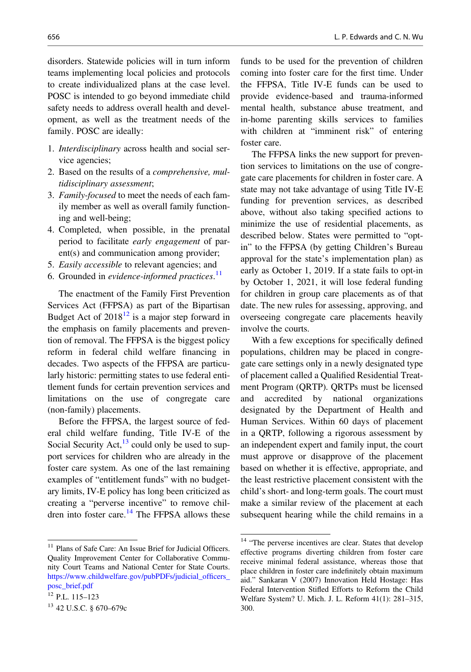disorders. Statewide policies will in turn inform teams implementing local policies and protocols to create individualized plans at the case level. POSC is intended to go beyond immediate child safety needs to address overall health and development, as well as the treatment needs of the family. POSC are ideally:

- 1. Interdisciplinary across health and social service agencies;
- 2. Based on the results of a comprehensive, multidisciplinary assessment;
- 3. Family-focused to meet the needs of each family member as well as overall family functioning and well-being;
- 4. Completed, when possible, in the prenatal period to facilitate early engagement of parent(s) and communication among provider;
- 5. Easily accessible to relevant agencies; and
- 6. Grounded in evidence-informed practices.<sup>11</sup>

The enactment of the Family First Prevention Services Act (FFPSA) as part of the Bipartisan Budget Act of  $2018^{12}$  is a major step forward in the emphasis on family placements and prevention of removal. The FFPSA is the biggest policy reform in federal child welfare financing in decades. Two aspects of the FFPSA are particularly historic: permitting states to use federal entitlement funds for certain prevention services and limitations on the use of congregate care (non-family) placements.

Before the FFPSA, the largest source of federal child welfare funding, Title IV-E of the Social Security Act, $^{13}$  could only be used to support services for children who are already in the foster care system. As one of the last remaining examples of "entitlement funds" with no budgetary limits, IV-E policy has long been criticized as creating a "perverse incentive" to remove children into foster care. $^{14}$  The FFPSA allows these funds to be used for the prevention of children coming into foster care for the first time. Under the FFPSA, Title IV-E funds can be used to provide evidence-based and trauma-informed mental health, substance abuse treatment, and in-home parenting skills services to families with children at "imminent risk" of entering foster care.

The FFPSA links the new support for prevention services to limitations on the use of congregate care placements for children in foster care. A state may not take advantage of using Title IV-E funding for prevention services, as described above, without also taking specified actions to minimize the use of residential placements, as described below. States were permitted to "optin" to the FFPSA (by getting Children's Bureau approval for the state's implementation plan) as early as October 1, 2019. If a state fails to opt-in by October 1, 2021, it will lose federal funding for children in group care placements as of that date. The new rules for assessing, approving, and overseeing congregate care placements heavily involve the courts.

With a few exceptions for specifically defined populations, children may be placed in congregate care settings only in a newly designated type of placement called a Qualified Residential Treatment Program (QRTP). QRTPs must be licensed and accredited by national organizations designated by the Department of Health and Human Services. Within 60 days of placement in a QRTP, following a rigorous assessment by an independent expert and family input, the court must approve or disapprove of the placement based on whether it is effective, appropriate, and the least restrictive placement consistent with the child's short- and long-term goals. The court must make a similar review of the placement at each subsequent hearing while the child remains in a

<sup>&</sup>lt;sup>11</sup> Plans of Safe Care: An Issue Brief for Judicial Officers. Quality Improvement Center for Collaborative Community Court Teams and National Center for State Courts. [https://www.childwelfare.gov/pubPDFs/judicial\\_of](https://www.childwelfare.gov/pubPDFs/judicial_officers_posc_brief.pdf)ficers\_ [posc\\_brief.pdf](https://www.childwelfare.gov/pubPDFs/judicial_officers_posc_brief.pdf)

<sup>12</sup> P.L. 115–123

<sup>13</sup> 42 U.S.C. § 670–679c

<sup>&</sup>lt;sup>14</sup> "The perverse incentives are clear. States that develop effective programs diverting children from foster care receive minimal federal assistance, whereas those that place children in foster care indefinitely obtain maximum aid." Sankaran V (2007) Innovation Held Hostage: Has Federal Intervention Stifled Efforts to Reform the Child Welfare System? U. Mich. J. L. Reform 41(1): 281–315, 300.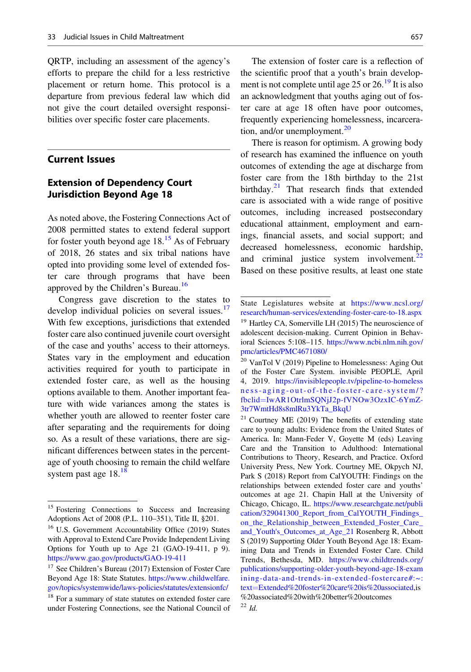QRTP, including an assessment of the agency's efforts to prepare the child for a less restrictive placement or return home. This protocol is a departure from previous federal law which did not give the court detailed oversight responsibilities over specific foster care placements.

#### Current Issues

## Extension of Dependency Court Jurisdiction Beyond Age 18

As noted above, the Fostering Connections Act of 2008 permitted states to extend federal support for foster youth beyond age  $18<sup>15</sup>$  As of February of 2018, 26 states and six tribal nations have opted into providing some level of extended foster care through programs that have been approved by the Children's Bureau.<sup>16</sup>

Congress gave discretion to the states to develop individual policies on several issues.<sup>17</sup> With few exceptions, jurisdictions that extended foster care also continued juvenile court oversight of the case and youths' access to their attorneys. States vary in the employment and education activities required for youth to participate in extended foster care, as well as the housing options available to them. Another important feature with wide variances among the states is whether youth are allowed to reenter foster care after separating and the requirements for doing so. As a result of these variations, there are significant differences between states in the percentage of youth choosing to remain the child welfare system past age 18.<sup>18</sup>

The extension of foster care is a reflection of the scientific proof that a youth's brain development is not complete until age 25 or  $26.^{19}$  It is also an acknowledgment that youths aging out of foster care at age 18 often have poor outcomes, frequently experiencing homelessness, incarceration, and/or unemployment. $20$ 

There is reason for optimism. A growing body of research has examined the influence on youth outcomes of extending the age at discharge from foster care from the 18th birthday to the 21st birthday.<sup>21</sup> That research finds that extended care is associated with a wide range of positive outcomes, including increased postsecondary educational attainment, employment and earnings, financial assets, and social support; and decreased homelessness, economic hardship, and criminal justice system involvement.<sup>22</sup> Based on these positive results, at least one state

<sup>&</sup>lt;sup>15</sup> Fostering Connections to Success and Increasing Adoptions Act of 2008 (P.L. 110–351), Title II, §201.

<sup>&</sup>lt;sup>16</sup> U.S. Government Accountability Office (2019) States with Approval to Extend Care Provide Independent Living Options for Youth up to Age 21 (GAO-19-411, p 9). <https://www.gao.gov/products/GAO-19-411>

<sup>&</sup>lt;sup>17</sup> See Children's Bureau (2017) Extension of Foster Care Beyond Age 18: State Statutes. [https://www.childwelfare.](https://www.childwelfare.gov/topics/systemwide/laws-policies/statutes/extensionfc/) [gov/topics/systemwide/laws-policies/statutes/extensionfc/](https://www.childwelfare.gov/topics/systemwide/laws-policies/statutes/extensionfc/)

<sup>&</sup>lt;sup>18</sup> For a summary of state statutes on extended foster care under Fostering Connections, see the National Council of

State Legislatures website at [https://www.ncsl.org/](https://www.ncsl.org/research/human-services/extending-foster-care-to-18.aspx) [research/human-services/extending-foster-care-to-18.aspx](https://www.ncsl.org/research/human-services/extending-foster-care-to-18.aspx)

<sup>&</sup>lt;sup>19</sup> Hartley CA, Somerville LH (2015) The neuroscience of adolescent decision-making. Current Opinion in Behavioral Sciences 5:108–115. [https://www.ncbi.nlm.nih.gov/](https://www.ncbi.nlm.nih.gov/pmc/articles/PMC4671080/) [pmc/articles/PMC4671080/](https://www.ncbi.nlm.nih.gov/pmc/articles/PMC4671080/)

<sup>&</sup>lt;sup>20</sup> VanTol V (2019) Pipeline to Homelessness: Aging Out of the Foster Care System. invisible PEOPLE, April 4, 2019. [https://invisiblepeople.tv/pipeline-to-homeless](https://invisiblepeople.tv/pipeline-to-homelessness-aging-out-of-the-foster-care-system/?fbclid=IwAR1OtrlmSQNjJ2p-fVNOw3OzxIC-6YmZ-3tr7WmtHd8s8mlRu3YkTa_BkqU) [ness-aging-out-of-the](https://invisiblepeople.tv/pipeline-to-homelessness-aging-out-of-the-foster-care-system/?fbclid=IwAR1OtrlmSQNjJ2p-fVNOw3OzxIC-6YmZ-3tr7WmtHd8s8mlRu3YkTa_BkqU) -foster-care-system/? [fbclid](https://invisiblepeople.tv/pipeline-to-homelessness-aging-out-of-the-foster-care-system/?fbclid=IwAR1OtrlmSQNjJ2p-fVNOw3OzxIC-6YmZ-3tr7WmtHd8s8mlRu3YkTa_BkqU)¼[IwAR1OtrlmSQNjJ2p-fVNOw3OzxIC-6YmZ-](https://invisiblepeople.tv/pipeline-to-homelessness-aging-out-of-the-foster-care-system/?fbclid=IwAR1OtrlmSQNjJ2p-fVNOw3OzxIC-6YmZ-3tr7WmtHd8s8mlRu3YkTa_BkqU)[3tr7WmtHd8s8mlRu3YkTa\\_BkqU](https://invisiblepeople.tv/pipeline-to-homelessness-aging-out-of-the-foster-care-system/?fbclid=IwAR1OtrlmSQNjJ2p-fVNOw3OzxIC-6YmZ-3tr7WmtHd8s8mlRu3YkTa_BkqU)

 $21$  Courtney ME (2019) The benefits of extending state care to young adults: Evidence from the United States of America. In: Mann-Feder V, Goyette M (eds) Leaving Care and the Transition to Adulthood: International Contributions to Theory, Research, and Practice. Oxford University Press, New York. Courtney ME, Okpych NJ, Park S (2018) Report from CalYOUTH: Findings on the relationships between extended foster care and youths' outcomes at age 21. Chapin Hall at the University of Chicago, Chicago, IL. [https://www.researchgate.net/publi](https://www.researchgate.net/publication/329041300_Report_from_CalYOUTH_Findings_on_the_Relationship_between_Extended_Foster_Care_and_Youth) [cation/329041300\\_Report\\_from\\_CalYOUTH\\_Findings\\_](https://www.researchgate.net/publication/329041300_Report_from_CalYOUTH_Findings_on_the_Relationship_between_Extended_Foster_Care_and_Youth) [on\\_the\\_Relationship\\_between\\_Extended\\_Foster\\_Care\\_](https://www.researchgate.net/publication/329041300_Report_from_CalYOUTH_Findings_on_the_Relationship_between_Extended_Foster_Care_and_Youth) [and\\_Youth's\\_Outcomes\\_at\\_Age\\_21](https://www.researchgate.net/publication/329041300_Report_from_CalYOUTH_Findings_on_the_Relationship_between_Extended_Foster_Care_and_Youth) Rosenberg R, Abbott S (2019) Supporting Older Youth Beyond Age 18: Examining Data and Trends in Extended Foster Care. Child Trends, Bethesda, MD. [https://www.childtrends.org/](https://www.childtrends.org/publications/supporting-older-youth-beyond-age-18-examining-data-and-trends-in-extended-fostercare#:~:text=Extended%20foster%20care%20is%20associated) [publications/supporting-older-youth-beyond-age-18-exam](https://www.childtrends.org/publications/supporting-older-youth-beyond-age-18-examining-data-and-trends-in-extended-fostercare#:~:text=Extended%20foster%20care%20is%20associated) [ining-data-and-trends-in-extended-fostercare#:~:](https://www.childtrends.org/publications/supporting-older-youth-beyond-age-18-examining-data-and-trends-in-extended-fostercare#:~:text=Extended%20foster%20care%20is%20associated) [text](https://www.childtrends.org/publications/supporting-older-youth-beyond-age-18-examining-data-and-trends-in-extended-fostercare#:~:text=Extended%20foster%20care%20is%20associated)¼[Extended%20foster%20care%20is%20associated](https://www.childtrends.org/publications/supporting-older-youth-beyond-age-18-examining-data-and-trends-in-extended-fostercare#:~:text=Extended%20foster%20care%20is%20associated),is %20associated%20with%20better%20outcomes  $^{22}$  Id.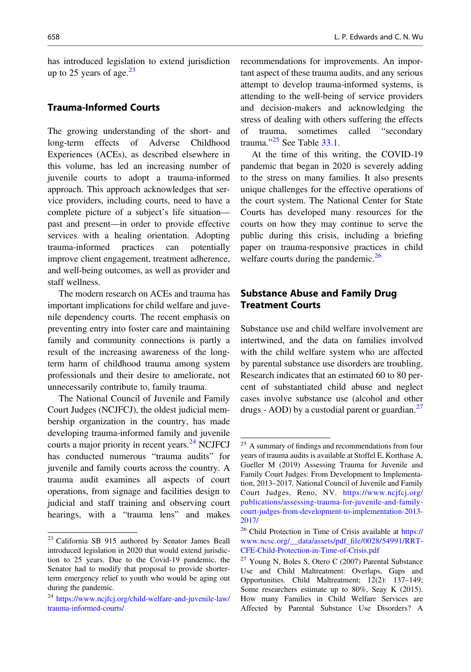has introduced legislation to extend jurisdiction up to 25 years of age. $^{23}$ 

#### Trauma-Informed Courts

The growing understanding of the short- and long-term effects of Adverse Childhood Experiences (ACEs), as described elsewhere in this volume, has led an increasing number of juvenile courts to adopt a trauma-informed approach. This approach acknowledges that service providers, including courts, need to have a complete picture of a subject's life situation past and present—in order to provide effective services with a healing orientation. Adopting trauma-informed practices can potentially improve client engagement, treatment adherence, and well-being outcomes, as well as provider and staff wellness.

The modern research on ACEs and trauma has important implications for child welfare and juvenile dependency courts. The recent emphasis on preventing entry into foster care and maintaining family and community connections is partly a result of the increasing awareness of the longterm harm of childhood trauma among system professionals and their desire to ameliorate, not unnecessarily contribute to, family trauma.

The National Council of Juvenile and Family Court Judges (NCJFCJ), the oldest judicial membership organization in the country, has made developing trauma-informed family and juvenile courts a major priority in recent years. $^{24}$  NCJFCJ has conducted numerous "trauma audits" for juvenile and family courts across the country. A trauma audit examines all aspects of court operations, from signage and facilities design to judicial and staff training and observing court hearings, with a "trauma lens" and makes

recommendations for improvements. An important aspect of these trauma audits, and any serious attempt to develop trauma-informed systems, is attending to the well-being of service providers and decision-makers and acknowledging the stress of dealing with others suffering the effects of trauma, sometimes called "secondary trauma."<sup>25</sup> See Table [33.1](#page-6-0).

At the time of this writing, the COVID-19 pandemic that began in 2020 is severely adding to the stress on many families. It also presents unique challenges for the effective operations of the court system. The National Center for State Courts has developed many resources for the courts on how they may continue to serve the public during this crisis, including a briefing paper on trauma-responsive practices in child welfare courts during the pandemic. $26$ 

## Substance Abuse and Family Drug Treatment Courts

Substance use and child welfare involvement are intertwined, and the data on families involved with the child welfare system who are affected by parental substance use disorders are troubling. Research indicates that an estimated 60 to 80 percent of substantiated child abuse and neglect cases involve substance use (alcohol and other drugs - AOD) by a custodial parent or guardian. $27$ 

<sup>23</sup> California SB 915 authored by Senator James Beall introduced legislation in 2020 that would extend jurisdiction to 25 years. Due to the Covid-19 pandemic, the Senator had to modify that proposal to provide shorterterm emergency relief to youth who would be aging out during the pandemic.

<sup>24</sup> [https://www.ncjfcj.org/child-welfare-and-juvenile-law/](https://www.ncjfcj.org/child-welfare-and-juvenile-law/trauma-informed-courts/) [trauma-informed-courts/](https://www.ncjfcj.org/child-welfare-and-juvenile-law/trauma-informed-courts/)

<sup>&</sup>lt;sup>25</sup> A summary of findings and recommendations from four years of trauma audits is available at Stoffel E, Korthase A, Gueller M (2019) Assessing Trauma for Juvenile and Family Court Judges: From Development to Implementation, 2013–2017. National Council of Juvenile and Family Court Judges, Reno, NV. [https://www.ncjfcj.org/](https://www.ncjfcj.org/publications/assessing-trauma-for-juvenile-and-family-court-judges-from-development-to-implementation-2013-2017/) [publications/assessing-trauma-for-juvenile-and-family](https://www.ncjfcj.org/publications/assessing-trauma-for-juvenile-and-family-court-judges-from-development-to-implementation-2013-2017/)[court-judges-from-development-to-implementation-2013-](https://www.ncjfcj.org/publications/assessing-trauma-for-juvenile-and-family-court-judges-from-development-to-implementation-2013-2017/) [2017/](https://www.ncjfcj.org/publications/assessing-trauma-for-juvenile-and-family-court-judges-from-development-to-implementation-2013-2017/)

<sup>26</sup> Child Protection in Time of Crisis available at [https://](https://www.ncsc.org/__data/assets/pdf_file/0028/54991/RRT-CFE-Child-Protection-in-Time-of-Crisis.pdf) [www.ncsc.org/\\_\\_data/assets/pdf\\_](https://www.ncsc.org/__data/assets/pdf_file/0028/54991/RRT-CFE-Child-Protection-in-Time-of-Crisis.pdf)file/0028/54991/RRT-[CFE-Child-Protection-in-Time-of-Crisis.pdf](https://www.ncsc.org/__data/assets/pdf_file/0028/54991/RRT-CFE-Child-Protection-in-Time-of-Crisis.pdf)

<sup>27</sup> Young N, Boles S, Otero C (2007) Parental Substance Use and Child Maltreatment: Overlaps, Gaps and Opportunities. Child Maltreatment; 12(2): 137–149; Some researchers estimate up to 80%, Seay K (2015). How many Families in Child Welfare Services are Affected by Parental Substance Use Disorders? A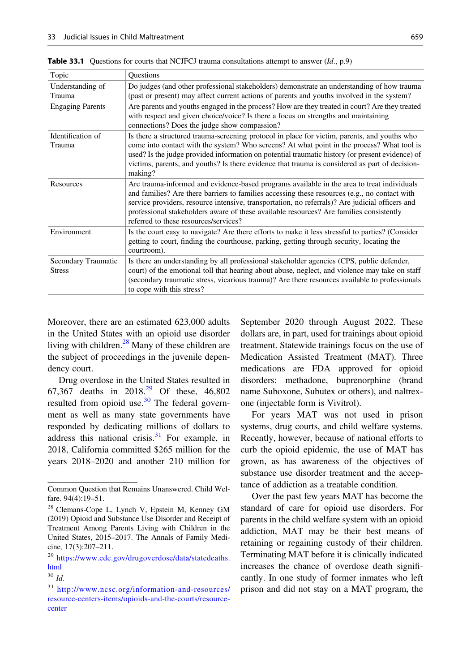| Topic                                | <b>Ouestions</b>                                                                                                                                                                                                                                                                                                                                                                                                                   |  |  |  |  |
|--------------------------------------|------------------------------------------------------------------------------------------------------------------------------------------------------------------------------------------------------------------------------------------------------------------------------------------------------------------------------------------------------------------------------------------------------------------------------------|--|--|--|--|
| Understanding of<br>Trauma           | Do judges (and other professional stakeholders) demonstrate an understanding of how trauma<br>(past or present) may affect current actions of parents and youths involved in the system?                                                                                                                                                                                                                                           |  |  |  |  |
| <b>Engaging Parents</b>              | Are parents and youths engaged in the process? How are they treated in court? Are they treated<br>with respect and given choice/voice? Is there a focus on strengths and maintaining<br>connections? Does the judge show compassion?                                                                                                                                                                                               |  |  |  |  |
| Identification of<br>Trauma          | Is there a structured trauma-screening protocol in place for victim, parents, and youths who<br>come into contact with the system? Who screens? At what point in the process? What tool is<br>used? Is the judge provided information on potential traumatic history (or present evidence) of<br>victims, parents, and youths? Is there evidence that trauma is considered as part of decision-<br>making?                         |  |  |  |  |
| Resources                            | Are trauma-informed and evidence-based programs available in the area to treat individuals<br>and families? Are there barriers to families accessing these resources (e.g., no contact with<br>service providers, resource intensive, transportation, no referrals)? Are judicial officers and<br>professional stakeholders aware of these available resources? Are families consistently<br>referred to these resources/services? |  |  |  |  |
| Environment                          | Is the court easy to navigate? Are there efforts to make it less stressful to parties? (Consider<br>getting to court, finding the courthouse, parking, getting through security, locating the<br>courtroom).                                                                                                                                                                                                                       |  |  |  |  |
| Secondary Traumatic<br><b>Stress</b> | Is there an understanding by all professional stakeholder agencies (CPS, public defender,<br>court) of the emotional toll that hearing about abuse, neglect, and violence may take on staff<br>(secondary traumatic stress, vicarious trauma)? Are there resources available to professionals<br>to cope with this stress?                                                                                                         |  |  |  |  |

<span id="page-6-0"></span>**Table 33.1** Questions for courts that NCJFCJ trauma consultations attempt to answer  $(Id., p.9)$ 

Moreover, there are an estimated 623,000 adults in the United States with an opioid use disorder living with children.<sup>28</sup> Many of these children are the subject of proceedings in the juvenile dependency court.

Drug overdose in the United States resulted in 67,367 deaths in  $2018^{29}$  Of these, 46,802 resulted from opioid use. $30$  The federal government as well as many state governments have responded by dedicating millions of dollars to address this national crisis. $31$  For example, in 2018, California committed \$265 million for the years 2018–2020 and another 210 million for September 2020 through August 2022. These dollars are, in part, used for trainings about opioid treatment. Statewide trainings focus on the use of Medication Assisted Treatment (MAT). Three medications are FDA approved for opioid disorders: methadone, buprenorphine (brand name Suboxone, Subutex or others), and naltrexone (injectable form is Vivitrol).

For years MAT was not used in prison systems, drug courts, and child welfare systems. Recently, however, because of national efforts to curb the opioid epidemic, the use of MAT has grown, as has awareness of the objectives of substance use disorder treatment and the acceptance of addiction as a treatable condition.

Over the past few years MAT has become the standard of care for opioid use disorders. For parents in the child welfare system with an opioid addiction, MAT may be their best means of retaining or regaining custody of their children. Terminating MAT before it is clinically indicated increases the chance of overdose death significantly. In one study of former inmates who left prison and did not stay on a MAT program, the

Common Question that Remains Unanswered. Child Welfare. 94(4):19–51.

<sup>28</sup> Clemans-Cope L, Lynch V, Epstein M, Kenney GM (2019) Opioid and Substance Use Disorder and Receipt of Treatment Among Parents Living with Children in the United States, 2015–2017. The Annals of Family Medicine, 17(3):207–211.

<sup>29</sup> [https://www.cdc.gov/drugoverdose/data/statedeaths.](https://www.cdc.gov/drugoverdose/data/statedeaths.html) [html](https://www.cdc.gov/drugoverdose/data/statedeaths.html)

 $30$  Id.

<sup>31</sup> [http://www.ncsc.org/information-and-resources/](http://www.ncsc.org/information-and-resources/resource-centers-items/opioids-and-the-courts/resource-center) [resource-centers-items/opioids-and-the-courts/resource](http://www.ncsc.org/information-and-resources/resource-centers-items/opioids-and-the-courts/resource-center)[center](http://www.ncsc.org/information-and-resources/resource-centers-items/opioids-and-the-courts/resource-center)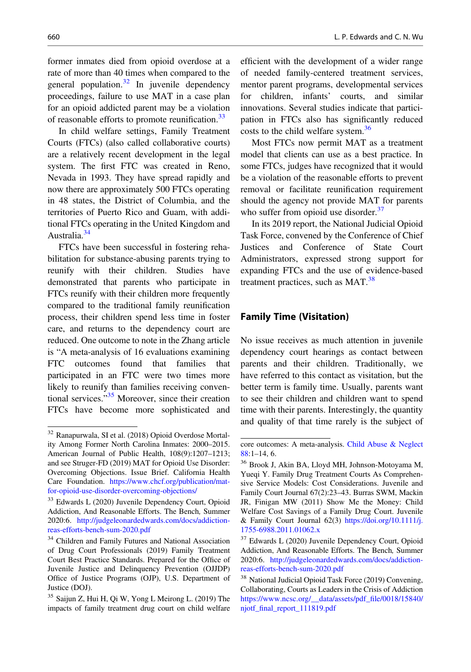former inmates died from opioid overdose at a rate of more than 40 times when compared to the general population. $32$  In juvenile dependency proceedings, failure to use MAT in a case plan for an opioid addicted parent may be a violation of reasonable efforts to promote reunification.<sup>33</sup>

In child welfare settings, Family Treatment Courts (FTCs) (also called collaborative courts) are a relatively recent development in the legal system. The first FTC was created in Reno, Nevada in 1993. They have spread rapidly and now there are approximately 500 FTCs operating in 48 states, the District of Columbia, and the territories of Puerto Rico and Guam, with additional FTCs operating in the United Kingdom and Australia.<sup>34</sup>

FTCs have been successful in fostering rehabilitation for substance-abusing parents trying to reunify with their children. Studies have demonstrated that parents who participate in FTCs reunify with their children more frequently compared to the traditional family reunification process, their children spend less time in foster care, and returns to the dependency court are reduced. One outcome to note in the Zhang article is "A meta-analysis of 16 evaluations examining FTC outcomes found that families that participated in an FTC were two times more likely to reunify than families receiving conventional services." <sup>35</sup> Moreover, since their creation FTCs have become more sophisticated and efficient with the development of a wider range of needed family-centered treatment services, mentor parent programs, developmental services for children, infants' courts, and similar innovations. Several studies indicate that participation in FTCs also has significantly reduced costs to the child welfare system.<sup>36</sup>

Most FTCs now permit MAT as a treatment model that clients can use as a best practice. In some FTCs, judges have recognized that it would be a violation of the reasonable efforts to prevent removal or facilitate reunification requirement should the agency not provide MAT for parents who suffer from opioid use disorder.<sup>37</sup>

In its 2019 report, the National Judicial Opioid Task Force, convened by the Conference of Chief Justices and Conference of State Court Administrators, expressed strong support for expanding FTCs and the use of evidence-based treatment practices, such as  $MAT<sup>38</sup>$ 

#### Family Time (Visitation)

No issue receives as much attention in juvenile dependency court hearings as contact between parents and their children. Traditionally, we have referred to this contact as visitation, but the better term is family time. Usually, parents want to see their children and children want to spend time with their parents. Interestingly, the quantity and quality of that time rarely is the subject of

<sup>32</sup> Ranapurwala, SI et al. (2018) Opioid Overdose Mortality Among Former North Carolina Inmates: 2000–2015. American Journal of Public Health, 108(9):1207–1213; and see Struger-FD (2019) MAT for Opioid Use Disorder: Overcoming Objections. Issue Brief. California Health Care Foundation. [https://www.chcf.org/publication/mat](https://www.chcf.org/publication/mat-for-opioid-use-disorder-overcoming-objections/)[for-opioid-use-disorder-overcoming-objections/](https://www.chcf.org/publication/mat-for-opioid-use-disorder-overcoming-objections/)

<sup>33</sup> Edwards L (2020) Juvenile Dependency Court, Opioid Addiction, And Reasonable Efforts. The Bench, Summer 2020:6. [http://judgeleonardedwards.com/docs/addiction](http://judgeleonardedwards.com/docs/addiction-reas-efforts-bench-sum-2020.pdf)[reas-efforts-bench-sum-2020.pdf](http://judgeleonardedwards.com/docs/addiction-reas-efforts-bench-sum-2020.pdf)

<sup>&</sup>lt;sup>34</sup> Children and Family Futures and National Association of Drug Court Professionals (2019) Family Treatment Court Best Practice Standards. Prepared for the Office of Juvenile Justice and Delinquency Prevention (OJJDP) Office of Justice Programs (OJP), U.S. Department of Justice (DOJ).

<sup>35</sup> Saijun Z, Hui H, Qi W, Yong L Meirong L. (2019) The impacts of family treatment drug court on child welfare

core outcomes: A meta-analysis. [Child Abuse & Neglect](https://www.sciencedirect.com/science/journal/01452134) [88](https://www.sciencedirect.com/science/journal/01452134/88/supp/C):1–14, 6.

<sup>36</sup> Brook J, Akin BA, Lloyd MH, Johnson-Motoyama M, Yueqi Y. Family Drug Treatment Courts As Comprehensive Service Models: Cost Considerations. Juvenile and Family Court Journal 67(2):23–43. Burras SWM, Mackin JR, Finigan MW (2011) Show Me the Money: Child Welfare Cost Savings of a Family Drug Court. Juvenile & Family Court Journal  $62(3)$  [https://doi.org/10.1111/j.](https://doi.org/10.1111/j.1755-6988.2011.01062.x) [1755-6988.2011.01062.x](https://doi.org/10.1111/j.1755-6988.2011.01062.x)

<sup>37</sup> Edwards L (2020) Juvenile Dependency Court, Opioid Addiction, And Reasonable Efforts. The Bench, Summer 2020:6. [http://judgeleonardedwards.com/docs/addiction](http://judgeleonardedwards.com/docs/addiction-reas-efforts-bench-sum-2020.pdf)[reas-efforts-bench-sum-2020.pdf](http://judgeleonardedwards.com/docs/addiction-reas-efforts-bench-sum-2020.pdf)

<sup>38</sup> National Judicial Opioid Task Force (2019) Convening, Collaborating, Courts as Leaders in the Crisis of Addiction [https://www.ncsc.org/\\_\\_data/assets/pdf\\_](https://www.ncsc.org/__data/assets/pdf_file/0018/15840/njotf_final_report_111819.pdf)file/0018/15840/ njotf\_fi[nal\\_report\\_111819.pdf](https://www.ncsc.org/__data/assets/pdf_file/0018/15840/njotf_final_report_111819.pdf)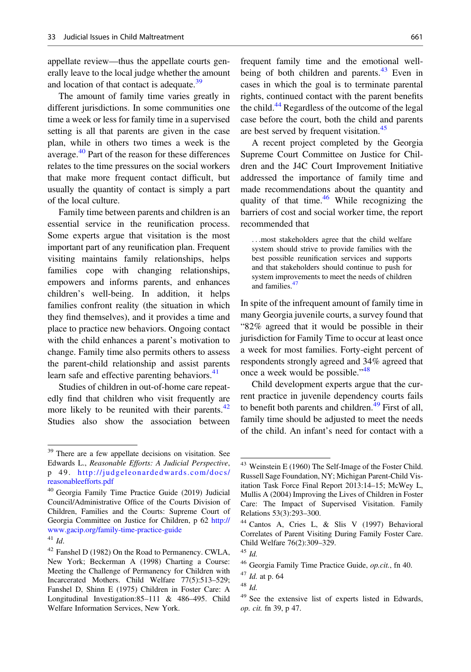appellate review—thus the appellate courts generally leave to the local judge whether the amount and location of that contact is adequate.<sup>39</sup>

The amount of family time varies greatly in different jurisdictions. In some communities one time a week or less for family time in a supervised setting is all that parents are given in the case plan, while in others two times a week is the average.<sup>40</sup> Part of the reason for these differences relates to the time pressures on the social workers that make more frequent contact difficult, but usually the quantity of contact is simply a part of the local culture.

Family time between parents and children is an essential service in the reunification process. Some experts argue that visitation is the most important part of any reunification plan. Frequent visiting maintains family relationships, helps families cope with changing relationships, empowers and informs parents, and enhances children's well-being. In addition, it helps families confront reality (the situation in which they find themselves), and it provides a time and place to practice new behaviors. Ongoing contact with the child enhances a parent's motivation to change. Family time also permits others to assess the parent-child relationship and assist parents learn safe and effective parenting behaviors.<sup>41</sup>

Studies of children in out-of-home care repeatedly find that children who visit frequently are more likely to be reunited with their parents. $42$ Studies also show the association between

frequent family time and the emotional wellbeing of both children and parents. $43$  Even in cases in which the goal is to terminate parental rights, continued contact with the parent benefits the child.<sup>44</sup> Regardless of the outcome of the legal case before the court, both the child and parents are best served by frequent visitation.<sup>45</sup>

A recent project completed by the Georgia Supreme Court Committee on Justice for Children and the J4C Court Improvement Initiative addressed the importance of family time and made recommendations about the quantity and quality of that time. $46$  While recognizing the barriers of cost and social worker time, the report recommended that

...most stakeholders agree that the child welfare system should strive to provide families with the best possible reunification services and supports and that stakeholders should continue to push for system improvements to meet the needs of children and families.<sup>47</sup>

In spite of the infrequent amount of family time in many Georgia juvenile courts, a survey found that "82% agreed that it would be possible in their jurisdiction for Family Time to occur at least once a week for most families. Forty-eight percent of respondents strongly agreed and 34% agreed that once a week would be possible." 48

Child development experts argue that the current practice in juvenile dependency courts fails to benefit both parents and children. $49$  First of all, family time should be adjusted to meet the needs of the child. An infant's need for contact with a

<sup>&</sup>lt;sup>39</sup> There are a few appellate decisions on visitation. See Edwards L., Reasonable Efforts: A Judicial Perspective, p 49. [http://judgeleonardedwards.com/docs/](http://judgeleonardedwards.com/docs/reasonableefforts.pdf) [reasonableefforts.pdf](http://judgeleonardedwards.com/docs/reasonableefforts.pdf)

<sup>40</sup> Georgia Family Time Practice Guide (2019) Judicial Council/Administrative Office of the Courts Division of Children, Families and the Courts: Supreme Court of Georgia Committee on Justice for Children, p 62 [http://](http://www.gacip.org/family-time-practice-guide) [www.gacip.org/family-time-practice-guide](http://www.gacip.org/family-time-practice-guide)

 $41$  Id.

 $42$  Fanshel D (1982) On the Road to Permanency. CWLA, New York; Beckerman A (1998) Charting a Course: Meeting the Challenge of Permanency for Children with Incarcerated Mothers. Child Welfare 77(5):513–529; Fanshel D, Shinn E (1975) Children in Foster Care: A Longitudinal Investigation:85–111 & 486–495. Child Welfare Information Services, New York.

<sup>43</sup> Weinstein E (1960) The Self-Image of the Foster Child. Russell Sage Foundation, NY; Michigan Parent-Child Visitation Task Force Final Report 2013:14–15; McWey L, Mullis A (2004) Improving the Lives of Children in Foster Care: The Impact of Supervised Visitation. Family Relations 53(3):293–300.

<sup>44</sup> Cantos A, Cries L, & Slis V (1997) Behavioral Correlates of Parent Visiting During Family Foster Care. Child Welfare 76(2):309–329.

<sup>45</sup> Id.

<sup>&</sup>lt;sup>46</sup> Georgia Family Time Practice Guide, op.cit., fn 40.

 $47$  *Id.* at p. 64

 $48$  Id.

<sup>&</sup>lt;sup>49</sup> See the extensive list of experts listed in Edwards, op. cit. fn 39, p 47.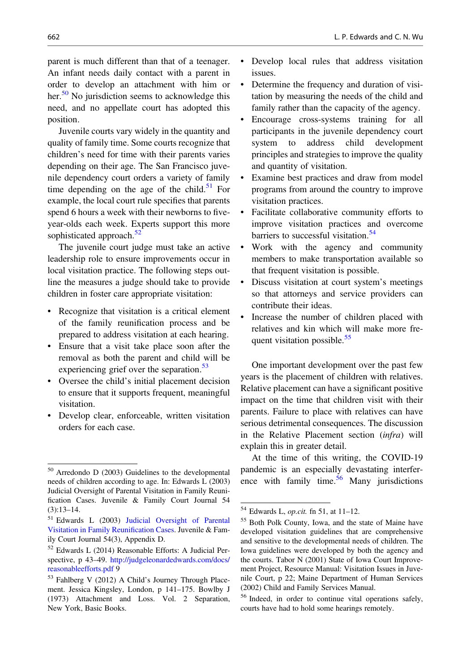parent is much different than that of a teenager. An infant needs daily contact with a parent in order to develop an attachment with him or her. $50$  No jurisdiction seems to acknowledge this need, and no appellate court has adopted this position.

Juvenile courts vary widely in the quantity and quality of family time. Some courts recognize that children's need for time with their parents varies depending on their age. The San Francisco juvenile dependency court orders a variety of family time depending on the age of the child.<sup>51</sup> For example, the local court rule specifies that parents spend 6 hours a week with their newborns to fiveyear-olds each week. Experts support this more sophisticated approach. $52$ 

The juvenile court judge must take an active leadership role to ensure improvements occur in local visitation practice. The following steps outline the measures a judge should take to provide children in foster care appropriate visitation:

- Recognize that visitation is a critical element of the family reunification process and be prepared to address visitation at each hearing.
- Ensure that a visit take place soon after the removal as both the parent and child will be experiencing grief over the separation.<sup>53</sup>
- Oversee the child's initial placement decision to ensure that it supports frequent, meaningful visitation.
- Develop clear, enforceable, written visitation orders for each case.
- Develop local rules that address visitation issues.
- Determine the frequency and duration of visitation by measuring the needs of the child and family rather than the capacity of the agency.
- Encourage cross-systems training for all participants in the juvenile dependency court system to address child development principles and strategies to improve the quality and quantity of visitation.
- Examine best practices and draw from model programs from around the country to improve visitation practices.
- Facilitate collaborative community efforts to improve visitation practices and overcome barriers to successful visitation.<sup>54</sup>
- Work with the agency and community members to make transportation available so that frequent visitation is possible.
- Discuss visitation at court system's meetings so that attorneys and service providers can contribute their ideas.
- Increase the number of children placed with relatives and kin which will make more frequent visitation possible.<sup>55</sup>

One important development over the past few years is the placement of children with relatives. Relative placement can have a significant positive impact on the time that children visit with their parents. Failure to place with relatives can have serious detrimental consequences. The discussion in the Relative Placement section (infra) will explain this in greater detail.

At the time of this writing, the COVID-19 pandemic is an especially devastating interference with family time. $56$  Many jurisdictions

<sup>50</sup> Arredondo D (2003) Guidelines to the developmental needs of children according to age. In: Edwards L (2003) Judicial Oversight of Parental Visitation in Family Reunification Cases. Juvenile & Family Court Journal 54 (3):13–14.

<sup>51</sup> Edwards L (2003) [Judicial Oversight of Parental](http://www.judgeleonardedwards.com/docs/JudicialOversightofVisitationSummer03.pdf) [Visitation in Family Reuni](http://www.judgeleonardedwards.com/docs/JudicialOversightofVisitationSummer03.pdf)fication Cases. Juvenile & Family Court Journal 54(3), Appendix D.

<sup>52</sup> Edwards L (2014) Reasonable Efforts: A Judicial Perspective, p 43–49. [http://judgeleonardedwards.com/docs/](http://judgeleonardedwards.com/docs/reasonableefforts.pdf) [reasonableefforts.pdf](http://judgeleonardedwards.com/docs/reasonableefforts.pdf) 9

<sup>53</sup> Fahlberg V (2012) A Child's Journey Through Placement. Jessica Kingsley, London, p 141–175. Bowlby J (1973) Attachment and Loss. Vol. 2 Separation, New York, Basic Books.

<sup>54</sup> Edwards L, op.cit. fn 51, at 11–12.

<sup>55</sup> Both Polk County, Iowa, and the state of Maine have developed visitation guidelines that are comprehensive and sensitive to the developmental needs of children. The Iowa guidelines were developed by both the agency and the courts. Tabor N (2001) State of Iowa Court Improvement Project, Resource Manual: Visitation Issues in Juvenile Court, p 22; Maine Department of Human Services (2002) Child and Family Services Manual.

<sup>56</sup> Indeed, in order to continue vital operations safely, courts have had to hold some hearings remotely.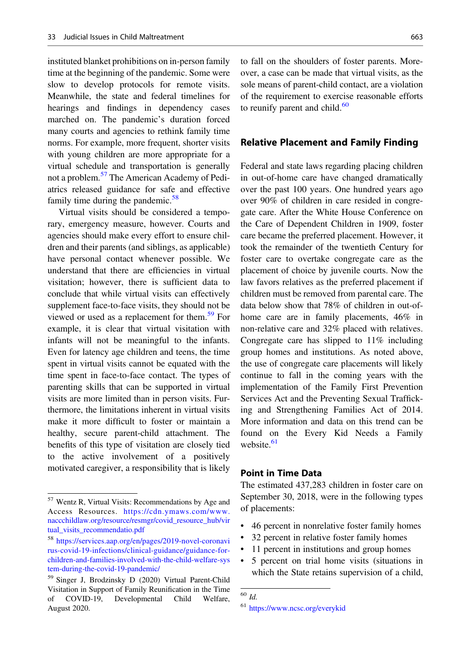instituted blanket prohibitions on in-person family time at the beginning of the pandemic. Some were slow to develop protocols for remote visits. Meanwhile, the state and federal timelines for hearings and findings in dependency cases marched on. The pandemic's duration forced many courts and agencies to rethink family time norms. For example, more frequent, shorter visits with young children are more appropriate for a virtual schedule and transportation is generally not a problem.<sup>57</sup> The American Academy of Pediatrics released guidance for safe and effective family time during the pandemic.<sup>58</sup>

Virtual visits should be considered a temporary, emergency measure, however. Courts and agencies should make every effort to ensure children and their parents (and siblings, as applicable) have personal contact whenever possible. We understand that there are efficiencies in virtual visitation; however, there is sufficient data to conclude that while virtual visits can effectively supplement face-to-face visits, they should not be viewed or used as a replacement for them.<sup>59</sup> For example, it is clear that virtual visitation with infants will not be meaningful to the infants. Even for latency age children and teens, the time spent in virtual visits cannot be equated with the time spent in face-to-face contact. The types of parenting skills that can be supported in virtual visits are more limited than in person visits. Furthermore, the limitations inherent in virtual visits make it more difficult to foster or maintain a healthy, secure parent-child attachment. The benefits of this type of visitation are closely tied to the active involvement of a positively motivated caregiver, a responsibility that is likely to fall on the shoulders of foster parents. Moreover, a case can be made that virtual visits, as the sole means of parent-child contact, are a violation of the requirement to exercise reasonable efforts to reunify parent and child. $60$ 

#### Relative Placement and Family Finding

Federal and state laws regarding placing children in out-of-home care have changed dramatically over the past 100 years. One hundred years ago over 90% of children in care resided in congregate care. After the White House Conference on the Care of Dependent Children in 1909, foster care became the preferred placement. However, it took the remainder of the twentieth Century for foster care to overtake congregate care as the placement of choice by juvenile courts. Now the law favors relatives as the preferred placement if children must be removed from parental care. The data below show that 78% of children in out-ofhome care are in family placements, 46% in non-relative care and 32% placed with relatives. Congregate care has slipped to 11% including group homes and institutions. As noted above, the use of congregate care placements will likely continue to fall in the coming years with the implementation of the Family First Prevention Services Act and the Preventing Sexual Trafficking and Strengthening Families Act of 2014. More information and data on this trend can be found on the Every Kid Needs a Family website. $61$ 

#### Point in Time Data

The estimated 437,283 children in foster care on September 30, 2018, were in the following types of placements:

- 46 percent in nonrelative foster family homes
- 32 percent in relative foster family homes
- 11 percent in institutions and group homes
- 5 percent on trial home visits (situations in which the State retains supervision of a child,

<sup>57</sup> Wentz R, Virtual Visits: Recommendations by Age and Access Resources. [https://cdn.ymaws.com/www.](https://cdn.ymaws.com/www.naccchildlaw.org/resource/resmgr/covid_resource_hub/virtual_visits_recommendatio.pdf) [naccchildlaw.org/resource/resmgr/covid\\_resource\\_hub/vir](https://cdn.ymaws.com/www.naccchildlaw.org/resource/resmgr/covid_resource_hub/virtual_visits_recommendatio.pdf) [tual\\_visits\\_recommendatio.pdf](https://cdn.ymaws.com/www.naccchildlaw.org/resource/resmgr/covid_resource_hub/virtual_visits_recommendatio.pdf)

<sup>58</sup> [https://services.aap.org/en/pages/2019-novel-coronavi](https://services.aap.org/en/pages/2019-novel-coronavirus-covid-19-infections/clinical-guidance/guidance-for-children-and-families-involved-with-the-child-welfare-system-during-the-covid-19-pandemic/) [rus-covid-19-infections/clinical-guidance/guidance-for](https://services.aap.org/en/pages/2019-novel-coronavirus-covid-19-infections/clinical-guidance/guidance-for-children-and-families-involved-with-the-child-welfare-system-during-the-covid-19-pandemic/)[children-and-families-involved-with-the-child-welfare-sys](https://services.aap.org/en/pages/2019-novel-coronavirus-covid-19-infections/clinical-guidance/guidance-for-children-and-families-involved-with-the-child-welfare-system-during-the-covid-19-pandemic/) [tem-during-the-covid-19-pandemic/](https://services.aap.org/en/pages/2019-novel-coronavirus-covid-19-infections/clinical-guidance/guidance-for-children-and-families-involved-with-the-child-welfare-system-during-the-covid-19-pandemic/)

<sup>59</sup> Singer J, Brodzinsky D (2020) Virtual Parent-Child Visitation in Support of Family Reunification in the Time of COVID-19, Developmental Child Welfare, August 2020.

 $60$  *Id.* 

<sup>61</sup> <https://www.ncsc.org/everykid>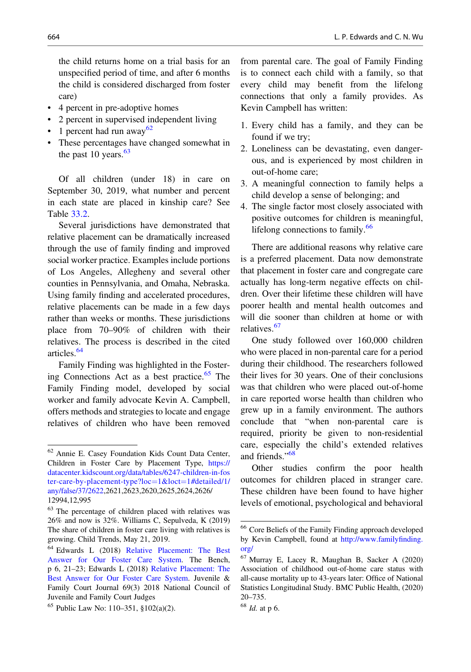the child returns home on a trial basis for an unspecified period of time, and after 6 months the child is considered discharged from foster care)

- 4 percent in pre-adoptive homes
- 2 percent in supervised independent living
- 1 percent had run away<sup>62</sup>
- These percentages have changed somewhat in the past 10 years. $63$

Of all children (under 18) in care on September 30, 2019, what number and percent in each state are placed in kinship care? See Table [33.2.](#page-12-0)

Several jurisdictions have demonstrated that relative placement can be dramatically increased through the use of family finding and improved social worker practice. Examples include portions of Los Angeles, Allegheny and several other counties in Pennsylvania, and Omaha, Nebraska. Using family finding and accelerated procedures, relative placements can be made in a few days rather than weeks or months. These jurisdictions place from 70–90% of children with their relatives. The process is described in the cited articles.<sup>64</sup>

Family Finding was highlighted in the Fostering Connections Act as a best practice. $65$  The Family Finding model, developed by social worker and family advocate Kevin A. Campbell, offers methods and strategies to locate and engage relatives of children who have been removed

from parental care. The goal of Family Finding is to connect each child with a family, so that every child may benefit from the lifelong connections that only a family provides. As Kevin Campbell has written:

- 1. Every child has a family, and they can be found if we try;
- 2. Loneliness can be devastating, even dangerous, and is experienced by most children in out-of-home care;
- 3. A meaningful connection to family helps a child develop a sense of belonging; and
- 4. The single factor most closely associated with positive outcomes for children is meaningful, lifelong connections to family.<sup>66</sup>

There are additional reasons why relative care is a preferred placement. Data now demonstrate that placement in foster care and congregate care actually has long-term negative effects on children. Over their lifetime these children will have poorer health and mental health outcomes and will die sooner than children at home or with relatives.<sup>67</sup>

One study followed over 160,000 children who were placed in non-parental care for a period during their childhood. The researchers followed their lives for 30 years. One of their conclusions was that children who were placed out-of-home in care reported worse health than children who grew up in a family environment. The authors conclude that "when non-parental care is required, priority be given to non-residential care, especially the child's extended relatives and friends."<sup>68</sup>

Other studies confirm the poor health outcomes for children placed in stranger care. These children have been found to have higher levels of emotional, psychological and behavioral

<sup>62</sup> Annie E. Casey Foundation Kids Count Data Center, Children in Foster Care by Placement Type, [https://](https://datacenter.kidscount.org/data/tables/6247-children-in-foster-care-by-placement-type?loc=1&loct=1#detailed/1/any/false/37/2622) [datacenter.kidscount.org/data/tables/6247-children-in-fos](https://datacenter.kidscount.org/data/tables/6247-children-in-foster-care-by-placement-type?loc=1&loct=1#detailed/1/any/false/37/2622) [ter-care-by-placement-type?loc](https://datacenter.kidscount.org/data/tables/6247-children-in-foster-care-by-placement-type?loc=1&loct=1#detailed/1/any/false/37/2622)=[1&loct](https://datacenter.kidscount.org/data/tables/6247-children-in-foster-care-by-placement-type?loc=1&loct=1#detailed/1/any/false/37/2622)=[1#detailed/1/](https://datacenter.kidscount.org/data/tables/6247-children-in-foster-care-by-placement-type?loc=1&loct=1#detailed/1/any/false/37/2622) [any/false/37/2622](https://datacenter.kidscount.org/data/tables/6247-children-in-foster-care-by-placement-type?loc=1&loct=1#detailed/1/any/false/37/2622),2621,2623,2620,2625,2624,2626/ 12994,12,995

<sup>63</sup> The percentage of children placed with relatives was 26% and now is 32%. Williams C, Sepulveda, K (2019) The share of children in foster care living with relatives is growing. Child Trends, May 21, 2019.

<sup>64</sup> Edwards L (2018) [Relative Placement: The Best](http://www.judgeleonardedwards.com/docs/EdwardsCJAWinter2018.pdf) [Answer for Our Foster Care System.](http://www.judgeleonardedwards.com/docs/EdwardsCJAWinter2018.pdf) The Bench, p 6, 21–23; Edwards L (2018) [Relative Placement: The](http://judgeleonardedwards.com/docs/Relative-Placement-JFCJ-69-3-2018.pdf) [Best Answer for Our Foster Care System.](http://judgeleonardedwards.com/docs/Relative-Placement-JFCJ-69-3-2018.pdf) Juvenile & Family Court Journal 69(3) 2018 National Council of Juvenile and Family Court Judges

<sup>65</sup> Public Law No: 110–351, §102(a)(2).

<sup>66</sup> Core Beliefs of the Family Finding approach developed by Kevin Campbell, found at [http://www.family](http://www.familyfinding.org/)finding. [org/](http://www.familyfinding.org/)

<sup>67</sup> Murray E, Lacey R, Maughan B, Sacker A (2020) Association of childhood out-of-home care status with all-cause mortality up to 43-years later: Office of National Statistics Longitudinal Study. BMC Public Health, (2020) 20–735.

 $68$  *Id.* at p 6.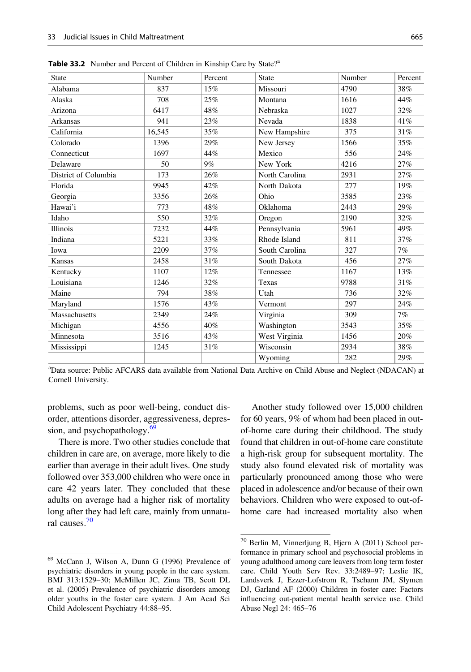| <b>State</b>         | Number | Percent | <b>State</b>   | Number | Percent |
|----------------------|--------|---------|----------------|--------|---------|
| Alabama              | 837    | 15%     | Missouri       | 4790   | 38%     |
| Alaska               | 708    | 25%     | Montana        | 1616   | 44%     |
| Arizona              | 6417   | 48%     | Nebraska       | 1027   | 32%     |
| <b>Arkansas</b>      | 941    | 23%     | Nevada         | 1838   | 41%     |
| California           | 16,545 | 35%     | New Hampshire  | 375    | 31%     |
| Colorado             | 1396   | 29%     | New Jersey     | 1566   | 35%     |
| Connecticut          | 1697   | 44%     | Mexico         | 556    | 24%     |
| Delaware             | 50     | 9%      | New York       | 4216   | 27%     |
| District of Columbia | 173    | 26%     | North Carolina | 2931   | 27%     |
| Florida              | 9945   | 42%     | North Dakota   | 277    | 19%     |
| Georgia              | 3356   | 26%     | Ohio           | 3585   | 23%     |
| Hawai'i              | 773    | 48%     | Oklahoma       | 2443   | 29%     |
| Idaho                | 550    | 32%     | Oregon         | 2190   | 32%     |
| <b>Illinois</b>      | 7232   | 44%     | Pennsylvania   | 5961   | 49%     |
| Indiana              | 5221   | 33%     | Rhode Island   | 811    | 37%     |
| Iowa                 | 2209   | 37%     | South Carolina | 327    | 7%      |
| Kansas               | 2458   | 31%     | South Dakota   | 456    | 27%     |
| Kentucky             | 1107   | 12%     | Tennessee      | 1167   | 13%     |
| Louisiana            | 1246   | 32%     | Texas          | 9788   | 31%     |
| Maine                | 794    | 38%     | Utah           | 736    | 32%     |
| Maryland             | 1576   | 43%     | Vermont        | 297    | 24%     |
| Massachusetts        | 2349   | 24%     | Virginia       | 309    | 7%      |
| Michigan             | 4556   | 40%     | Washington     | 3543   | 35%     |
| Minnesota            | 3516   | 43%     | West Virginia  | 1456   | 20%     |
| Mississippi          | 1245   | $31\%$  | Wisconsin      | 2934   | 38%     |
|                      |        |         | Wyoming        | 282    | 29%     |

<span id="page-12-0"></span>Table 33.2 Number and Percent of Children in Kinship Care by State?<sup>a</sup>

<sup>a</sup>Data source: Public AFCARS data available from National Data Archive on Child Abuse and Neglect (NDACAN) at Cornell University.

problems, such as poor well-being, conduct disorder, attentions disorder, aggressiveness, depression, and psychopathology. $69$ 

There is more. Two other studies conclude that children in care are, on average, more likely to die earlier than average in their adult lives. One study followed over 353,000 children who were once in care 42 years later. They concluded that these adults on average had a higher risk of mortality long after they had left care, mainly from unnatural causes.<sup>70</sup>

Another study followed over 15,000 children for 60 years, 9% of whom had been placed in outof-home care during their childhood. The study found that children in out-of-home care constitute a high-risk group for subsequent mortality. The study also found elevated risk of mortality was particularly pronounced among those who were placed in adolescence and/or because of their own behaviors. Children who were exposed to out-ofhome care had increased mortality also when

<sup>69</sup> McCann J, Wilson A, Dunn G (1996) Prevalence of psychiatric disorders in young people in the care system. BMJ 313:1529–30; McMillen JC, Zima TB, Scott DL et al. (2005) Prevalence of psychiatric disorders among older youths in the foster care system. J Am Acad Sci Child Adolescent Psychiatry 44:88–95.

<sup>70</sup> Berlin M, Vinnerljung B, Hjern A (2011) School performance in primary school and psychosocial problems in young adulthood among care leavers from long term foster care. Child Youth Serv Rev. 33:2489–97; Leslie IK, Landsverk J, Ezzer-Lofstrom R, Tschann JM, Slymen DJ, Garland AF (2000) Children in foster care: Factors influencing out-patient mental health service use. Child Abuse Negl 24: 465–76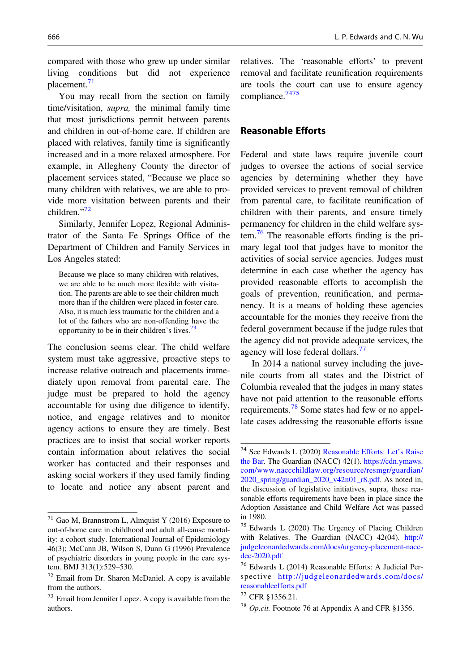compared with those who grew up under similar living conditions but did not experience placement.<sup>71</sup>

You may recall from the section on family time/visitation, supra, the minimal family time that most jurisdictions permit between parents and children in out-of-home care. If children are placed with relatives, family time is significantly increased and in a more relaxed atmosphere. For example, in Allegheny County the director of placement services stated, "Because we place so many children with relatives, we are able to provide more visitation between parents and their children." 72

Similarly, Jennifer Lopez, Regional Administrator of the Santa Fe Springs Office of the Department of Children and Family Services in Los Angeles stated:

Because we place so many children with relatives, we are able to be much more flexible with visitation. The parents are able to see their children much more than if the children were placed in foster care. Also, it is much less traumatic for the children and a lot of the fathers who are non-offending have the opportunity to be in their children's lives.<sup>73</sup>

The conclusion seems clear. The child welfare system must take aggressive, proactive steps to increase relative outreach and placements immediately upon removal from parental care. The judge must be prepared to hold the agency accountable for using due diligence to identify, notice, and engage relatives and to monitor agency actions to ensure they are timely. Best practices are to insist that social worker reports contain information about relatives the social worker has contacted and their responses and asking social workers if they used family finding to locate and notice any absent parent and relatives. The 'reasonable efforts' to prevent removal and facilitate reunification requirements are tools the court can use to ensure agency compliance.<sup>7475</sup>

## Reasonable Efforts

Federal and state laws require juvenile court judges to oversee the actions of social service agencies by determining whether they have provided services to prevent removal of children from parental care, to facilitate reunification of children with their parents, and ensure timely permanency for children in the child welfare system.<sup>76</sup> The reasonable efforts finding is the primary legal tool that judges have to monitor the activities of social service agencies. Judges must determine in each case whether the agency has provided reasonable efforts to accomplish the goals of prevention, reunification, and permanency. It is a means of holding these agencies accountable for the monies they receive from the federal government because if the judge rules that the agency did not provide adequate services, the agency will lose federal dollars.<sup>77</sup>

In 2014 a national survey including the juvenile courts from all states and the District of Columbia revealed that the judges in many states have not paid attention to the reasonable efforts requirements.<sup>78</sup> Some states had few or no appellate cases addressing the reasonable efforts issue

Gao M, Brannstrom L, Almquist Y (2016) Exposure to out-of-home care in childhood and adult all-cause mortality: a cohort study. International Journal of Epidemiology 46(3); McCann JB, Wilson S, Dunn G (1996) Prevalence of psychiatric disorders in young people in the care system. BMJ 313(1):529–530.

<sup>72</sup> Email from Dr. Sharon McDaniel. A copy is available from the authors.

<sup>73</sup> Email from Jennifer Lopez. A copy is available from the authors.

<sup>74</sup> See Edwards L (2020) [Reasonable Efforts: Let](http://judgeleonardedwards.com/docs/reasonable-efforts-lets-raise-the-bar-2020.pdf)'s Raise [the Bar.](http://judgeleonardedwards.com/docs/reasonable-efforts-lets-raise-the-bar-2020.pdf) The Guardian (NACC) 42(1). [https://cdn.ymaws.](https://cdn.ymaws.com/www.naccchildlaw.org/resource/resmgr/guardian/2020_spring/guardian_2020_v42n01_r8.pdf) [com/www.naccchildlaw.org/resource/resmgr/guardian/](https://cdn.ymaws.com/www.naccchildlaw.org/resource/resmgr/guardian/2020_spring/guardian_2020_v42n01_r8.pdf) [2020\\_spring/guardian\\_2020\\_v42n01\\_r8.pdf](https://cdn.ymaws.com/www.naccchildlaw.org/resource/resmgr/guardian/2020_spring/guardian_2020_v42n01_r8.pdf). As noted in, the discussion of legislative initiatives, supra, these reasonable efforts requirements have been in place since the Adoption Assistance and Child Welfare Act was passed in 1980.

<sup>75</sup> Edwards L (2020) The Urgency of Placing Children with Relatives. The Guardian (NACC) 42(04). [http://](http://judgeleonardedwards.com/docs/urgency-placement-nacc-dec-2020.pdf) [judgeleonardedwards.com/docs/urgency-placement-nacc](http://judgeleonardedwards.com/docs/urgency-placement-nacc-dec-2020.pdf)[dec-2020.pdf](http://judgeleonardedwards.com/docs/urgency-placement-nacc-dec-2020.pdf)

<sup>76</sup> Edwards L (2014) Reasonable Efforts: A Judicial Perspective [http://judgeleonardedwards.com/docs/](http://judgeleonardedwards.com/docs/reasonableefforts.pdf) [reasonableefforts.pdf](http://judgeleonardedwards.com/docs/reasonableefforts.pdf)

<sup>77</sup> CFR §1356.21.

 $78$  Op.cit. Footnote 76 at Appendix A and CFR §1356.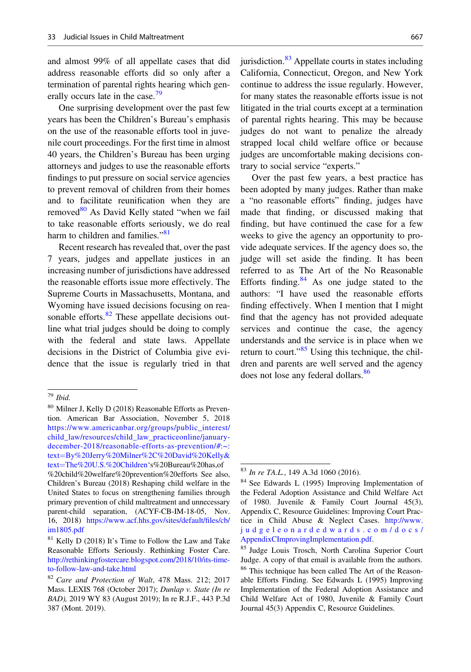and almost 99% of all appellate cases that did address reasonable efforts did so only after a termination of parental rights hearing which generally occurs late in the case.<sup>79</sup>

One surprising development over the past few years has been the Children's Bureau's emphasis on the use of the reasonable efforts tool in juvenile court proceedings. For the first time in almost 40 years, the Children's Bureau has been urging attorneys and judges to use the reasonable efforts findings to put pressure on social service agencies to prevent removal of children from their homes and to facilitate reunification when they are removed<sup>80</sup> As David Kelly stated "when we fail to take reasonable efforts seriously, we do real harm to children and families."<sup>81</sup>

Recent research has revealed that, over the past 7 years, judges and appellate justices in an increasing number of jurisdictions have addressed the reasonable efforts issue more effectively. The Supreme Courts in Massachusetts, Montana, and Wyoming have issued decisions focusing on reasonable efforts. $82$  These appellate decisions outline what trial judges should be doing to comply with the federal and state laws. Appellate decisions in the District of Columbia give evidence that the issue is regularly tried in that

jurisdiction. $83$  Appellate courts in states including California, Connecticut, Oregon, and New York continue to address the issue regularly. However, for many states the reasonable efforts issue is not litigated in the trial courts except at a termination of parental rights hearing. This may be because judges do not want to penalize the already strapped local child welfare office or because judges are uncomfortable making decisions contrary to social service "experts."

Over the past few years, a best practice has been adopted by many judges. Rather than make a "no reasonable efforts" finding, judges have made that finding, or discussed making that finding, but have continued the case for a few weeks to give the agency an opportunity to provide adequate services. If the agency does so, the judge will set aside the finding. It has been referred to as The Art of the No Reasonable Efforts finding. $84$  As one judge stated to the authors: "I have used the reasonable efforts finding effectively. When I mention that I might find that the agency has not provided adequate services and continue the case, the agency understands and the service is in place when we return to court."<sup>85</sup> Using this technique, the children and parents are well served and the agency does not lose any federal dollars.<sup>86</sup>

<sup>79</sup> Ibid.

<sup>80</sup> Milner J, Kelly D (2018) Reasonable Efforts as Prevention. American Bar Association, November 5, 2018 [https://www.americanbar.org/groups/public\\_interest/](https://www.americanbar.org/groups/public_interest/child_law/resources/child_law_practiceonline/january-december-2018/reasonable-efforts-as-prevention/#:~:text=By%20Jerry%20Milner%2C%20David%20Kelly&text=The%20U.S.%20Children) [child\\_law/resources/child\\_law\\_practiceonline/january](https://www.americanbar.org/groups/public_interest/child_law/resources/child_law_practiceonline/january-december-2018/reasonable-efforts-as-prevention/#:~:text=By%20Jerry%20Milner%2C%20David%20Kelly&text=The%20U.S.%20Children)[december-2018/reasonable-efforts-as-prevention/#:~:](https://www.americanbar.org/groups/public_interest/child_law/resources/child_law_practiceonline/january-december-2018/reasonable-efforts-as-prevention/#:~:text=By%20Jerry%20Milner%2C%20David%20Kelly&text=The%20U.S.%20Children) [text](https://www.americanbar.org/groups/public_interest/child_law/resources/child_law_practiceonline/january-december-2018/reasonable-efforts-as-prevention/#:~:text=By%20Jerry%20Milner%2C%20David%20Kelly&text=The%20U.S.%20Children)=[By%20Jerry%20Milner%2C%20David%20Kelly&](https://www.americanbar.org/groups/public_interest/child_law/resources/child_law_practiceonline/january-december-2018/reasonable-efforts-as-prevention/#:~:text=By%20Jerry%20Milner%2C%20David%20Kelly&text=The%20U.S.%20Children) [text](https://www.americanbar.org/groups/public_interest/child_law/resources/child_law_practiceonline/january-december-2018/reasonable-efforts-as-prevention/#:~:text=By%20Jerry%20Milner%2C%20David%20Kelly&text=The%20U.S.%20Children)=[The%20U.S.%20Children](https://www.americanbar.org/groups/public_interest/child_law/resources/child_law_practiceonline/january-december-2018/reasonable-efforts-as-prevention/#:~:text=By%20Jerry%20Milner%2C%20David%20Kelly&text=The%20U.S.%20Children)'s%20Bureau%20has,of %20child%20welfare%20prevention%20efforts See also, Children's Bureau (2018) Reshaping child welfare in the United States to focus on strengthening families through primary prevention of child maltreatment and unnecessary parent-child separation, (ACYF-CB-IM-18-05, Nov.

<sup>16, 2018)</sup> [https://www.acf.hhs.gov/sites/default/](https://www.acf.hhs.gov/sites/default/files/cb/im1805.pdf)files/cb/ [im1805.pdf](https://www.acf.hhs.gov/sites/default/files/cb/im1805.pdf)  $81$  Kelly D (2018) It's Time to Follow the Law and Take

Reasonable Efforts Seriously. Rethinking Foster Care. [http://rethinkingfostercare.blogspot.com/2018/10/its-time](http://rethinkingfostercare.blogspot.com/2018/10/its-time-to-follow-law-and-take.html)[to-follow-law-and-take.html](http://rethinkingfostercare.blogspot.com/2018/10/its-time-to-follow-law-and-take.html)

<sup>82</sup> Care and Protection of Walt, 478 Mass. 212; 2017 Mass. LEXIS 768 (October 2017); Dunlap v. State (In re BAD), 2019 WY 83 (August 2019); In re R.J.F., 443 P.3d 387 (Mont. 2019).

<sup>83</sup> In re TA.L., 149 A.3d 1060 (2016).

<sup>84</sup> See Edwards L (1995) Improving Implementation of the Federal Adoption Assistance and Child Welfare Act of 1980. Juvenile & Family Court Journal 45(3), Appendix C, Resource Guidelines: Improving Court Practice in Child Abuse & Neglect Cases. [http://www.](http://www.judgeleonardedwards.com/docs/AppendixCImprovingImplementation.pdf) [judgeleonardedwards.com/docs/](http://www.judgeleonardedwards.com/docs/AppendixCImprovingImplementation.pdf) [AppendixCImprovingImplementation.pdf.](http://www.judgeleonardedwards.com/docs/AppendixCImprovingImplementation.pdf)

<sup>85</sup> Judge Louis Trosch, North Carolina Superior Court Judge. A copy of that email is available from the authors.

<sup>86</sup> This technique has been called The Art of the Reasonable Efforts Finding. See Edwards L (1995) Improving Implementation of the Federal Adoption Assistance and Child Welfare Act of 1980, Juvenile & Family Court Journal 45(3) Appendix C, Resource Guidelines.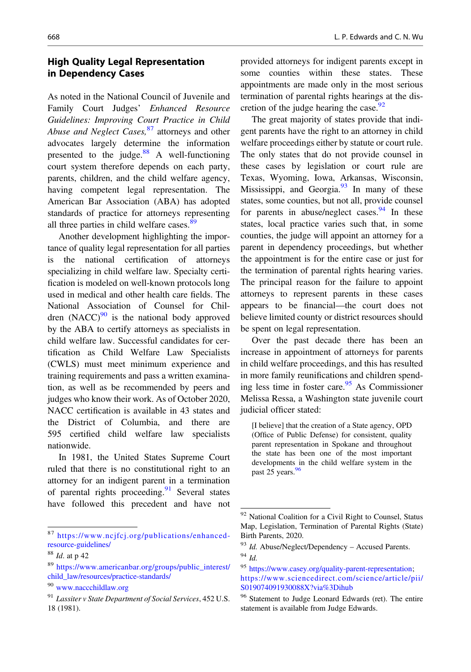## High Quality Legal Representation in Dependency Cases

As noted in the National Council of Juvenile and Family Court Judges' Enhanced Resource Guidelines: Improving Court Practice in Child Abuse and Neglect Cases,<sup>87</sup> attorneys and other advocates largely determine the information presented to the judge. $88$  A well-functioning court system therefore depends on each party, parents, children, and the child welfare agency, having competent legal representation. The American Bar Association (ABA) has adopted standards of practice for attorneys representing all three parties in child welfare cases.<sup>89</sup>

Another development highlighting the importance of quality legal representation for all parties is the national certification of attorneys specializing in child welfare law. Specialty certification is modeled on well-known protocols long used in medical and other health care fields. The National Association of Counsel for Children  $(NACC)^{90}$  is the national body approved by the ABA to certify attorneys as specialists in child welfare law. Successful candidates for certification as Child Welfare Law Specialists (CWLS) must meet minimum experience and training requirements and pass a written examination, as well as be recommended by peers and judges who know their work. As of October 2020, NACC certification is available in 43 states and the District of Columbia, and there are 595 certified child welfare law specialists nationwide.

In 1981, the United States Supreme Court ruled that there is no constitutional right to an attorney for an indigent parent in a termination of parental rights proceeding.<sup>91</sup> Several states have followed this precedent and have not provided attorneys for indigent parents except in some counties within these states. These appointments are made only in the most serious termination of parental rights hearings at the discretion of the judge hearing the case.  $92$ 

The great majority of states provide that indigent parents have the right to an attorney in child welfare proceedings either by statute or court rule. The only states that do not provide counsel in these cases by legislation or court rule are Texas, Wyoming, Iowa, Arkansas, Wisconsin, Mississippi, and Georgia. $\frac{93}{3}$  In many of these states, some counties, but not all, provide counsel for parents in abuse/neglect cases. In these states, local practice varies such that, in some counties, the judge will appoint an attorney for a parent in dependency proceedings, but whether the appointment is for the entire case or just for the termination of parental rights hearing varies. The principal reason for the failure to appoint attorneys to represent parents in these cases appears to be financial—the court does not believe limited county or district resources should be spent on legal representation.

Over the past decade there has been an increase in appointment of attorneys for parents in child welfare proceedings, and this has resulted in more family reunifications and children spending less time in foster care. $\frac{95}{5}$  As Commissioner Melissa Ressa, a Washington state juvenile court judicial officer stated:

[I believe] that the creation of a State agency, OPD (Office of Public Defense) for consistent, quality parent representation in Spokane and throughout the state has been one of the most important developments in the child welfare system in the past 25 years.<sup>96</sup>

<sup>87</sup> [https://www.ncjfcj.org/publications/enhanced](https://www.ncjfcj.org/publications/enhanced-resource-guidelines/)[resource-guidelines/](https://www.ncjfcj.org/publications/enhanced-resource-guidelines/)

 $^{88}$   $\emph{Id.}$  at p 42

<sup>89</sup> [https://www.americanbar.org/groups/public\\_interest/](https://www.americanbar.org/groups/public_interest/child_law/resources/practice-standards/) [child\\_law/resources/practice-standards/](https://www.americanbar.org/groups/public_interest/child_law/resources/practice-standards/)

<sup>90</sup> [www.naccchildlaw.org](http://www.naccchildlaw.org)

<sup>&</sup>lt;sup>91</sup> Lassiter v State Department of Social Services, 452 U.S. 18 (1981).

<sup>&</sup>lt;sup>92</sup> National Coalition for a Civil Right to Counsel, Status Map, Legislation, Termination of Parental Rights (State) Birth Parents, 2020.

 $93$  Id. Abuse/Neglect/Dependency - Accused Parents. <sup>94</sup> Id.

<sup>95</sup> [https://www.casey.org/quality-parent-representation;](https://www.casey.org/quality-parent-representation) [https://www.sciencedirect.com/science/article/pii/](https://www.sciencedirect.com/science/article/pii/S019074091930088X?via%3Dihub) [S019074091930088X?via%3Dihub](https://www.sciencedirect.com/science/article/pii/S019074091930088X?via%3Dihub)

<sup>&</sup>lt;sup>96</sup> Statement to Judge Leonard Edwards (ret). The entire statement is available from Judge Edwards.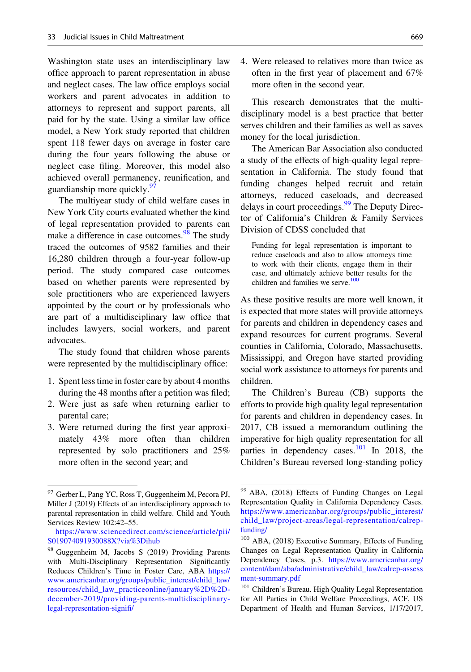Washington state uses an interdisciplinary law office approach to parent representation in abuse and neglect cases. The law office employs social workers and parent advocates in addition to attorneys to represent and support parents, all paid for by the state. Using a similar law office model, a New York study reported that children spent 118 fewer days on average in foster care during the four years following the abuse or neglect case filing. Moreover, this model also achieved overall permanency, reunification, and guardianship more quickly.<sup>97</sup>

The multiyear study of child welfare cases in New York City courts evaluated whether the kind of legal representation provided to parents can make a difference in case outcomes.<sup>98</sup> The study traced the outcomes of 9582 families and their 16,280 children through a four-year follow-up period. The study compared case outcomes based on whether parents were represented by sole practitioners who are experienced lawyers appointed by the court or by professionals who are part of a multidisciplinary law office that includes lawyers, social workers, and parent advocates.

The study found that children whose parents were represented by the multidisciplinary office:

- 1. Spent less time in foster care by about 4 months during the 48 months after a petition was filed;
- 2. Were just as safe when returning earlier to parental care;
- 3. Were returned during the first year approximately 43% more often than children represented by solo practitioners and 25% more often in the second year; and

4. Were released to relatives more than twice as often in the first year of placement and 67% more often in the second year.

This research demonstrates that the multidisciplinary model is a best practice that better serves children and their families as well as saves money for the local jurisdiction.

The American Bar Association also conducted a study of the effects of high-quality legal representation in California. The study found that funding changes helped recruit and retain attorneys, reduced caseloads, and decreased delays in court proceedings.<sup>99</sup> The Deputy Director of California's Children & Family Services Division of CDSS concluded that

Funding for legal representation is important to reduce caseloads and also to allow attorneys time to work with their clients, engage them in their case, and ultimately achieve better results for the children and families we serve.<sup>100</sup>

As these positive results are more well known, it is expected that more states will provide attorneys for parents and children in dependency cases and expand resources for current programs. Several counties in California, Colorado, Massachusetts, Mississippi, and Oregon have started providing social work assistance to attorneys for parents and children.

The Children's Bureau (CB) supports the efforts to provide high quality legal representation for parents and children in dependency cases. In 2017, CB issued a memorandum outlining the imperative for high quality representation for all parties in dependency cases. $101$  In 2018, the Children's Bureau reversed long-standing policy

<sup>97</sup> Gerber L, Pang YC, Ross T, Guggenheim M, Pecora PJ, Miller J (2019) Effects of an interdisciplinary approach to parental representation in child welfare. Child and Youth Services Review 102:42–55.

[https://www.sciencedirect.com/science/article/pii/](https://www.sciencedirect.com/science/article/pii/S019074091930088X?via%3Dihub) [S019074091930088X?via%3Dihub](https://www.sciencedirect.com/science/article/pii/S019074091930088X?via%3Dihub)

<sup>&</sup>lt;sup>98</sup> Guggenheim M, Jacobs S (2019) Providing Parents with Multi-Disciplinary Representation Significantly Reduces Children's Time in Foster Care, ABA [https://](https://www.americanbar.org/groups/public_interest/child_law/resources/child_law_practiceonline/january%2D%2D-december-2019/providing-parents-multidisciplinary-legal-representation-signifi/) [www.americanbar.org/groups/public\\_interest/child\\_law/](https://www.americanbar.org/groups/public_interest/child_law/resources/child_law_practiceonline/january%2D%2D-december-2019/providing-parents-multidisciplinary-legal-representation-signifi/) [resources/child\\_law\\_practiceonline/january%2D%2D](https://www.americanbar.org/groups/public_interest/child_law/resources/child_law_practiceonline/january%2D%2D-december-2019/providing-parents-multidisciplinary-legal-representation-signifi/)[december-2019/providing-parents-multidisciplinary](https://www.americanbar.org/groups/public_interest/child_law/resources/child_law_practiceonline/january%2D%2D-december-2019/providing-parents-multidisciplinary-legal-representation-signifi/)[legal-representation-signi](https://www.americanbar.org/groups/public_interest/child_law/resources/child_law_practiceonline/january%2D%2D-december-2019/providing-parents-multidisciplinary-legal-representation-signifi/)fi/

<sup>99</sup> ABA, (2018) Effects of Funding Changes on Legal Representation Quality in California Dependency Cases. [https://www.americanbar.org/groups/public\\_interest/](https://www.americanbar.org/groups/public_interest/child_law/project-areas/legal-representation/calrep-funding/) [child\\_law/project-areas/legal-representation/calrep](https://www.americanbar.org/groups/public_interest/child_law/project-areas/legal-representation/calrep-funding/)[funding/](https://www.americanbar.org/groups/public_interest/child_law/project-areas/legal-representation/calrep-funding/)

<sup>100</sup> ABA, (2018) Executive Summary, Effects of Funding Changes on Legal Representation Quality in California Dependency Cases, p.3. [https://www.americanbar.org/](https://www.americanbar.org/content/dam/aba/administrative/child_law/calrep-assessment-summary.pdf) [content/dam/aba/administrative/child\\_law/calrep-assess](https://www.americanbar.org/content/dam/aba/administrative/child_law/calrep-assessment-summary.pdf) [ment-summary.pdf](https://www.americanbar.org/content/dam/aba/administrative/child_law/calrep-assessment-summary.pdf)

<sup>&</sup>lt;sup>101</sup> Children's Bureau. High Quality Legal Representation for All Parties in Child Welfare Proceedings, ACF, US Department of Health and Human Services, 1/17/2017,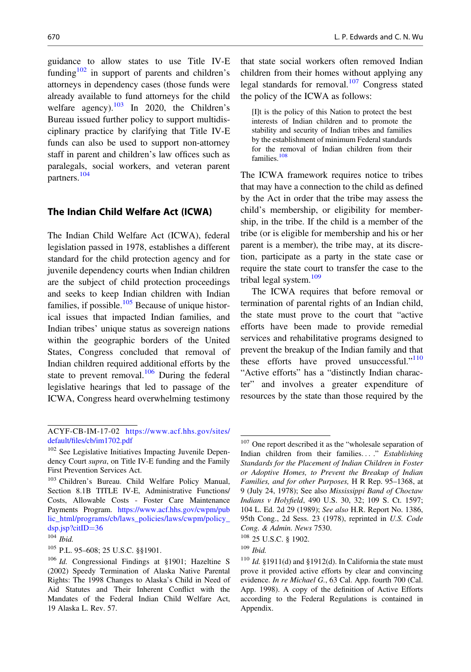guidance to allow states to use Title IV-E funding<sup>102</sup> in support of parents and children's attorneys in dependency cases (those funds were already available to fund attorneys for the child welfare agency). $103 \text{ In } 2020$ , the Children's Bureau issued further policy to support multidisciplinary practice by clarifying that Title IV-E funds can also be used to support non-attorney staff in parent and children's law offices such as paralegals, social workers, and veteran parent partners.<sup>104</sup>

#### The Indian Child Welfare Act (ICWA)

The Indian Child Welfare Act (ICWA), federal legislation passed in 1978, establishes a different standard for the child protection agency and for juvenile dependency courts when Indian children are the subject of child protection proceedings and seeks to keep Indian children with Indian families, if possible. $105$  Because of unique historical issues that impacted Indian families, and Indian tribes' unique status as sovereign nations within the geographic borders of the United States, Congress concluded that removal of Indian children required additional efforts by the state to prevent removal. $106$  During the federal legislative hearings that led to passage of the ICWA, Congress heard overwhelming testimony that state social workers often removed Indian children from their homes without applying any legal standards for removal. $107$  Congress stated the policy of the ICWA as follows:

[I]t is the policy of this Nation to protect the best interests of Indian children and to promote the stability and security of Indian tribes and families by the establishment of minimum Federal standards for the removal of Indian children from their families.<sup>108</sup>

The ICWA framework requires notice to tribes that may have a connection to the child as defined by the Act in order that the tribe may assess the child's membership, or eligibility for membership, in the tribe. If the child is a member of the tribe (or is eligible for membership and his or her parent is a member), the tribe may, at its discretion, participate as a party in the state case or require the state court to transfer the case to the tribal legal system.<sup>109</sup>

The ICWA requires that before removal or termination of parental rights of an Indian child, the state must prove to the court that "active efforts have been made to provide remedial services and rehabilitative programs designed to prevent the breakup of the Indian family and that these efforts have proved unsuccessful."<sup>110</sup> "Active efforts" has a "distinctly Indian character" and involves a greater expenditure of resources by the state than those required by the

<sup>108</sup> 25 U.S.C. § 1902.

ACYF-CB-IM-17-02 [https://www.acf.hhs.gov/sites/](https://www.acf.hhs.gov/sites/default/files/cb/im1702.pdf) default/fi[les/cb/im1702.pdf](https://www.acf.hhs.gov/sites/default/files/cb/im1702.pdf)

<sup>&</sup>lt;sup>102</sup> See Legislative Initiatives Impacting Juvenile Dependency Court supra, on Title IV-E funding and the Family First Prevention Services Act.

<sup>&</sup>lt;sup>103</sup> Children's Bureau. Child Welfare Policy Manual, Section 8.1B TITLE IV-E, Administrative Functions/ Costs, Allowable Costs - Foster Care Maintenance Payments Program. [https://www.acf.hhs.gov/cwpm/pub](https://www.acf.hhs.gov/cwpm/public_html/programs/cb/laws_policies/laws/cwpm/policy_dsp.jsp?citID=36) [lic\\_html/programs/cb/laws\\_policies/laws/cwpm/policy\\_](https://www.acf.hhs.gov/cwpm/public_html/programs/cb/laws_policies/laws/cwpm/policy_dsp.jsp?citID=36) [dsp.jsp?citID](https://www.acf.hhs.gov/cwpm/public_html/programs/cb/laws_policies/laws/cwpm/policy_dsp.jsp?citID=36)=[36](https://www.acf.hhs.gov/cwpm/public_html/programs/cb/laws_policies/laws/cwpm/policy_dsp.jsp?citID=36)<br> $104$  Ibid.

<sup>105</sup> P.L. 95–608; 25 U.S.C. §§1901.

<sup>106</sup> Id. Congressional Findings at §1901; Hazeltine S (2002) Speedy Termination of Alaska Native Parental Rights: The 1998 Changes to Alaska's Child in Need of Aid Statutes and Their Inherent Conflict with the Mandates of the Federal Indian Child Welfare Act, 19 Alaska L. Rev. 57.

<sup>&</sup>lt;sup>107</sup> One report described it as the "wholesale separation of Indian children from their families... ." Establishing Standards for the Placement of Indian Children in Foster or Adoptive Homes, to Prevent the Breakup of Indian Families, and for other Purposes, H R Rep. 95–1368, at 9 (July 24, 1978); See also Mississippi Band of Choctaw Indians v Holyfield, 490 U.S. 30, 32; 109 S. Ct. 1597; 104 L. Ed. 2d 29 (1989); See also H.R. Report No. 1386, 95th Cong., 2d Sess. 23 (1978), reprinted in U.S. Code Cong. & Admin. News 7530.

 $109$  Ibid.

<sup>&</sup>lt;sup>110</sup> Id. §1911(d) and §1912(d). In California the state must prove it provided active efforts by clear and convincing evidence. In re Michael G., 63 Cal. App. fourth 700 (Cal. App. 1998). A copy of the definition of Active Efforts according to the Federal Regulations is contained in Appendix.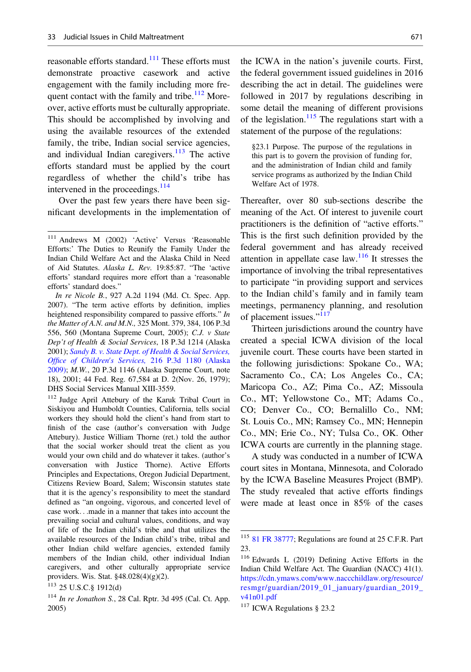reasonable efforts standard. $111$  These efforts must demonstrate proactive casework and active engagement with the family including more frequent contact with the family and tribe. $112$  Moreover, active efforts must be culturally appropriate. This should be accomplished by involving and using the available resources of the extended family, the tribe, Indian social service agencies, and individual Indian caregivers. $\frac{113}{113}$  The active efforts standard must be applied by the court regardless of whether the child's tribe has intervened in the proceedings.<sup>114</sup>

Over the past few years there have been significant developments in the implementation of the ICWA in the nation's juvenile courts. First, the federal government issued guidelines in 2016 describing the act in detail. The guidelines were followed in 2017 by regulations describing in some detail the meaning of different provisions of the legislation.<sup>115</sup> The regulations start with a statement of the purpose of the regulations:

§23.1 Purpose. The purpose of the regulations in this part is to govern the provision of funding for, and the administration of Indian child and family service programs as authorized by the Indian Child Welfare Act of 1978.

Thereafter, over 80 sub-sections describe the meaning of the Act. Of interest to juvenile court practitioners is the definition of "active efforts." This is the first such definition provided by the federal government and has already received attention in appellate case  $law.<sup>116</sup>$  It stresses the importance of involving the tribal representatives to participate "in providing support and services to the Indian child's family and in family team meetings, permanency planning, and resolution of placement issues."<sup>117</sup>

Thirteen jurisdictions around the country have created a special ICWA division of the local juvenile court. These courts have been started in the following jurisdictions: Spokane Co., WA; Sacramento Co., CA; Los Angeles Co., CA; Maricopa Co., AZ; Pima Co., AZ; Missoula Co., MT; Yellowstone Co., MT; Adams Co., CO; Denver Co., CO; Bernalillo Co., NM; St. Louis Co., MN; Ramsey Co., MN; Hennepin Co., MN; Erie Co., NY; Tulsa Co., OK. Other ICWA courts are currently in the planning stage.

A study was conducted in a number of ICWA court sites in Montana, Minnesota, and Colorado by the ICWA Baseline Measures Project (BMP). The study revealed that active efforts findings were made at least once in 85% of the cases

<sup>111</sup> Andrews M (2002) 'Active' Versus 'Reasonable Efforts:' The Duties to Reunify the Family Under the Indian Child Welfare Act and the Alaska Child in Need of Aid Statutes. Alaska L. Rev. 19:85:87. "The 'active efforts' standard requires more effort than a 'reasonable efforts' standard does."

In re Nicole B., 927 A.2d 1194 (Md. Ct. Spec. App. 2007). "The term active efforts by definition, implies heightened responsibility compared to passive efforts." In the Matter of A.N. and M.N., 325 Mont. 379, 384, 106 P.3d 556, 560 (Montana Supreme Court, 2005); C.J. v State Dep't of Health & Social Services, 18 P.3d 1214 (Alaska 2001); [Sandy B. v. State Dept. of Health & Social Services,](http://www.lexis.com/research/buttonTFLink?_m=c32acf5d3f917b8c9cd9ea671679da0d&_xfercite=%3ccite%20cc%3d%22USA%22%3e%3c%21%5bCDATA%5b61%20A.L.R.6th%20521%5d%5d%3e%3c%2fcite%3e&_butType=3&_butStat=2&_butNum=109&_butInline=1&_butinfo=%3ccite%20cc%3d%22USA%22%3e%3c%21%5bCDATA%5b216%20P.3d%201180%5d%5d%3e%3c%2fcite%3e&_fmtstr=FULL&docnum=8&_startdoc=1&wchp=dGLbVzB-zSkAb&_md5=f7e779e921e62b813cf4a01770338fea) Offi[ce of Children's Services,](http://www.lexis.com/research/buttonTFLink?_m=c32acf5d3f917b8c9cd9ea671679da0d&_xfercite=%3ccite%20cc%3d%22USA%22%3e%3c%21%5bCDATA%5b61%20A.L.R.6th%20521%5d%5d%3e%3c%2fcite%3e&_butType=3&_butStat=2&_butNum=109&_butInline=1&_butinfo=%3ccite%20cc%3d%22USA%22%3e%3c%21%5bCDATA%5b216%20P.3d%201180%5d%5d%3e%3c%2fcite%3e&_fmtstr=FULL&docnum=8&_startdoc=1&wchp=dGLbVzB-zSkAb&_md5=f7e779e921e62b813cf4a01770338fea) 216 P.3d 1180 (Alaska [2009\);](http://www.lexis.com/research/buttonTFLink?_m=c32acf5d3f917b8c9cd9ea671679da0d&_xfercite=%3ccite%20cc%3d%22USA%22%3e%3c%21%5bCDATA%5b61%20A.L.R.6th%20521%5d%5d%3e%3c%2fcite%3e&_butType=3&_butStat=2&_butNum=109&_butInline=1&_butinfo=%3ccite%20cc%3d%22USA%22%3e%3c%21%5bCDATA%5b216%20P.3d%201180%5d%5d%3e%3c%2fcite%3e&_fmtstr=FULL&docnum=8&_startdoc=1&wchp=dGLbVzB-zSkAb&_md5=f7e779e921e62b813cf4a01770338fea) M.W., 20 P.3d 1146 (Alaska Supreme Court, note 18), 2001; 44 Fed. Reg. 67,584 at D. 2(Nov. 26, 1979); DHS Social Services Manual XIII-3559.

<sup>112</sup> Judge April Attebury of the Karuk Tribal Court in Siskiyou and Humboldt Counties, California, tells social workers they should hold the client's hand from start to finish of the case (author's conversation with Judge Attebury). Justice William Thorne (ret.) told the author that the social worker should treat the client as you would your own child and do whatever it takes. (author's conversation with Justice Thorne). Active Efforts Principles and Expectations, Oregon Judicial Department, Citizens Review Board, Salem; Wisconsin statutes state that it is the agency's responsibility to meet the standard defined as "an ongoing, vigorous, and concerted level of case work...made in a manner that takes into account the prevailing social and cultural values, conditions, and way of life of the Indian child's tribe and that utilizes the available resources of the Indian child's tribe, tribal and other Indian child welfare agencies, extended family members of the Indian child, other individual Indian caregivers, and other culturally appropriate service providers. Wis. Stat. §48.028(4)(g)(2).

<sup>113</sup> 25 U.S.C.§ 1912(d)

<sup>114</sup> In re Jonathon S., 28 Cal. Rptr. 3d 495 (Cal. Ct. App. 2005)

<sup>115</sup> [81 FR 38777;](https://www.gpo.gov/fdsys/pkg/FR-2016-06-14/pdf/2016-13686.pdf) Regulations are found at 25 C.F.R. Part 23.

<sup>116</sup> Edwards L (2019) Defining Active Efforts in the Indian Child Welfare Act. The Guardian (NACC) 41(1). [https://cdn.ymaws.com/www.naccchildlaw.org/resource/](https://cdn.ymaws.com/www.naccchildlaw.org/resource/resmgr/guardian/2019_01_january/guardian_2019_v41n01.pdf) [resmgr/guardian/2019\\_01\\_january/guardian\\_2019\\_](https://cdn.ymaws.com/www.naccchildlaw.org/resource/resmgr/guardian/2019_01_january/guardian_2019_v41n01.pdf) [v41n01.pdf](https://cdn.ymaws.com/www.naccchildlaw.org/resource/resmgr/guardian/2019_01_january/guardian_2019_v41n01.pdf)

<sup>117</sup> ICWA Regulations § 23.2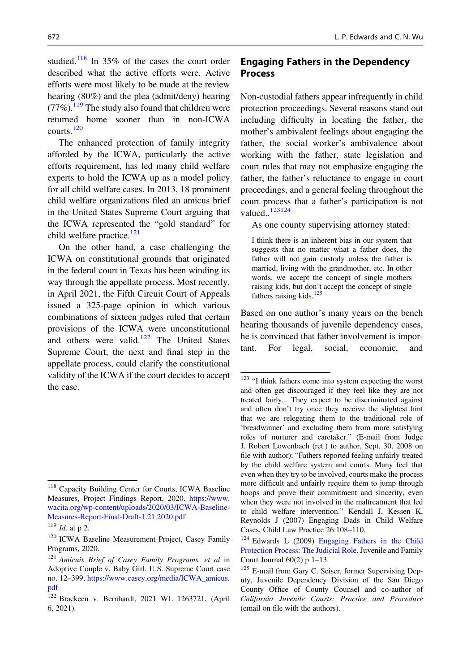studied.<sup>118</sup> In 35% of the cases the court order described what the active efforts were. Active efforts were most likely to be made at the review hearing (80%) and the plea (admit/deny) hearing  $(77%)$ .<sup>119</sup> The study also found that children were returned home sooner than in non-ICWA courts.<sup>120</sup>

The enhanced protection of family integrity afforded by the ICWA, particularly the active efforts requirement, has led many child welfare experts to hold the ICWA up as a model policy for all child welfare cases. In 2013, 18 prominent child welfare organizations filed an amicus brief in the United States Supreme Court arguing that the ICWA represented the "gold standard" for child welfare practice.<sup>121</sup>

On the other hand, a case challenging the ICWA on constitutional grounds that originated in the federal court in Texas has been winding its way through the appellate process. Most recently, in April 2021, the Fifth Circuit Court of Appeals issued a 325-page opinion in which various combinations of sixteen judges ruled that certain provisions of the ICWA were unconstitutional and others were valid. $122$  The United States Supreme Court, the next and final step in the appellate process, could clarify the constitutional validity of the ICWA if the court decides to accept the case.

## Engaging Fathers in the Dependency Process

Non-custodial fathers appear infrequently in child protection proceedings. Several reasons stand out including difficulty in locating the father, the mother's ambivalent feelings about engaging the father, the social worker's ambivalence about working with the father, state legislation and court rules that may not emphasize engaging the father, the father's reluctance to engage in court proceedings, and a general feeling throughout the court process that a father's participation is not valued. $123124$ 

As one county supervising attorney stated:

I think there is an inherent bias in our system that suggests that no matter what a father does, the father will not gain custody unless the father is married, living with the grandmother, etc. In other words, we accept the concept of single mothers raising kids, but don't accept the concept of single fathers raising kids.<sup>125</sup>

Based on one author's many years on the bench hearing thousands of juvenile dependency cases, he is convinced that father involvement is important. For legal, social, economic, and

<sup>118</sup> Capacity Building Center for Courts, ICWA Baseline Measures, Project Findings Report, 2020. [https://www.](https://www.wacita.org/wp-content/uploads/2020/03/ICWA-Baseline-Measures-Report-Final-Draft-1.21.2020.pdf) [wacita.org/wp-content/uploads/2020/03/ICWA-Baseline-](https://www.wacita.org/wp-content/uploads/2020/03/ICWA-Baseline-Measures-Report-Final-Draft-1.21.2020.pdf)[Measures-Report-Final-Draft-1.21.2020.pdf](https://www.wacita.org/wp-content/uploads/2020/03/ICWA-Baseline-Measures-Report-Final-Draft-1.21.2020.pdf)

 $119$  *Id.* at p 2.

<sup>&</sup>lt;sup>120</sup> ICWA Baseline Measurement Project, Casey Family Programs, 2020.

<sup>&</sup>lt;sup>121</sup> Amicuis Brief of Casey Family Programs, et al in Adoptive Couple v. Baby Girl, U.S. Supreme Court case no. 12–399, [https://www.casey.org/media/ICWA\\_amicus.](https://www.casey.org/media/ICWA_amicus.pdf) [pdf](https://www.casey.org/media/ICWA_amicus.pdf)

<sup>122</sup> Brackeen v. Bernhardt, 2021 WL 1263721, (April 6, 2021).

<sup>123</sup> "I think fathers come into system expecting the worst and often get discouraged if they feel like they are not treated fairly... They expect to be discriminated against and often don't try once they receive the slightest hint that we are relegating them to the traditional role of 'breadwinner' and excluding them from more satisfying roles of nurturer and caretaker." (E-mail from Judge J. Robert Lowenbach (ret.) to author, Sept. 30, 2008 on file with author); "Fathers reported feeling unfairly treated by the child welfare system and courts. Many feel that even when they try to be involved, courts make the process more difficult and unfairly require them to jump through hoops and prove their commitment and sincerity, even when they were not involved in the maltreatment that led to child welfare intervention." Kendall J, Kessen K, Reynolds J (2007) Engaging Dads in Child Welfare Cases, Child Law Practice 26:108–110.

<sup>&</sup>lt;sup>124</sup> Edwards L (2009) [Engaging Fathers in the Child](http://www.judgeleonardedwards.com/docs/EdwardsEngagingfathersJournal09.pdf) [Protection Process: The Judicial Role](http://www.judgeleonardedwards.com/docs/EdwardsEngagingfathersJournal09.pdf). Juvenile and Family Court Journal  $60(2)$  p 1–13.

<sup>&</sup>lt;sup>125</sup> E-mail from Gary C. Seiser, former Supervising Deputy, Juvenile Dependency Division of the San Diego County Office of County Counsel and co-author of California Juvenile Courts: Practice and Procedure (email on file with the authors).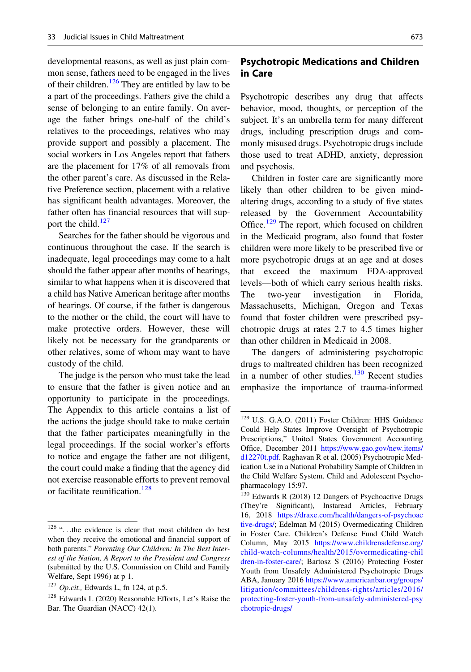developmental reasons, as well as just plain common sense, fathers need to be engaged in the lives of their children.<sup>126</sup> They are entitled by law to be a part of the proceedings. Fathers give the child a sense of belonging to an entire family. On average the father brings one-half of the child's relatives to the proceedings, relatives who may provide support and possibly a placement. The social workers in Los Angeles report that fathers are the placement for 17% of all removals from the other parent's care. As discussed in the Relative Preference section, placement with a relative has significant health advantages. Moreover, the father often has financial resources that will support the child. $127$ 

Searches for the father should be vigorous and continuous throughout the case. If the search is inadequate, legal proceedings may come to a halt should the father appear after months of hearings, similar to what happens when it is discovered that a child has Native American heritage after months of hearings. Of course, if the father is dangerous to the mother or the child, the court will have to make protective orders. However, these will likely not be necessary for the grandparents or other relatives, some of whom may want to have custody of the child.

The judge is the person who must take the lead to ensure that the father is given notice and an opportunity to participate in the proceedings. The Appendix to this article contains a list of the actions the judge should take to make certain that the father participates meaningfully in the legal proceedings. If the social worker's efforts to notice and engage the father are not diligent, the court could make a finding that the agency did not exercise reasonable efforts to prevent removal or facilitate reunification.<sup>128</sup>

## Psychotropic Medications and Children in Care

Psychotropic describes any drug that affects behavior, mood, thoughts, or perception of the subject. It's an umbrella term for many different drugs, including prescription drugs and commonly misused drugs. Psychotropic drugs include those used to treat ADHD, anxiety, depression and psychosis.

Children in foster care are significantly more likely than other children to be given mindaltering drugs, according to a study of five states released by the Government Accountability Office.<sup>129</sup> The report, which focused on children in the Medicaid program, also found that foster children were more likely to be prescribed five or more psychotropic drugs at an age and at doses that exceed the maximum FDA-approved levels—both of which carry serious health risks. The two-year investigation in Florida, Massachusetts, Michigan, Oregon and Texas found that foster children were prescribed psychotropic drugs at rates 2.7 to 4.5 times higher than other children in Medicaid in 2008.

The dangers of administering psychotropic drugs to maltreated children has been recognized in a number of other studies. $130$  Recent studies emphasize the importance of trauma-informed

<sup>&</sup>lt;sup>126</sup> "...the evidence is clear that most children do best when they receive the emotional and financial support of both parents." Parenting Our Children: In The Best Interest of the Nation, A Report to the President and Congress (submitted by the U.S. Commission on Child and Family Welfare, Sept 1996) at p 1.

 $127$  Op.cit., Edwards L, fn 124, at p.5.

<sup>128</sup> Edwards L (2020) Reasonable Efforts, Let's Raise the Bar. The Guardian (NACC) 42(1).

<sup>129</sup> U.S. G.A.O. (2011) Foster Children: HHS Guidance Could Help States Improve Oversight of Psychotropic Prescriptions," United States Government Accounting Office, December 2011 [https://www.gao.gov/new.items/](https://www.gao.gov/new.items/d12270t.pdf) [d12270t.pdf.](https://www.gao.gov/new.items/d12270t.pdf) Raghavan R et al. (2005) Psychotropic Medication Use in a National Probability Sample of Children in the Child Welfare System. Child and Adolescent Psychopharmacology 15:97.

<sup>&</sup>lt;sup>130</sup> Edwards R (2018) 12 Dangers of Psychoactive Drugs (They're Significant), Instaread Articles, February 16, 2018 [https://draxe.com/health/dangers-of-psychoac](https://draxe.com/health/dangers-of-psychoactive-drugs/) [tive-drugs/](https://draxe.com/health/dangers-of-psychoactive-drugs/); Edelman M (2015) Overmedicating Children in Foster Care. Children's Defense Fund Child Watch Column, May 2015 [https://www.childrensdefense.org/](https://www.childrensdefense.org/child-watch-columns/health/2015/overmedicating-children-in-foster-care/) [child-watch-columns/health/2015/overmedicating-chil](https://www.childrensdefense.org/child-watch-columns/health/2015/overmedicating-children-in-foster-care/) [dren-in-foster-care/;](https://www.childrensdefense.org/child-watch-columns/health/2015/overmedicating-children-in-foster-care/) Bartosz S (2016) Protecting Foster Youth from Unsafely Administered Psychotropic Drugs ABA, January 2016 [https://www.americanbar.org/groups/](https://www.americanbar.org/groups/litigation/committees/childrens-rights/articles/2016/protecting-foster-youth-from-unsafely-administered-psychotropic-drugs/) [litigation/committees/childrens-rights/articles/2016/](https://www.americanbar.org/groups/litigation/committees/childrens-rights/articles/2016/protecting-foster-youth-from-unsafely-administered-psychotropic-drugs/) [protecting-foster-youth-from-unsafely-administered-psy](https://www.americanbar.org/groups/litigation/committees/childrens-rights/articles/2016/protecting-foster-youth-from-unsafely-administered-psychotropic-drugs/) [chotropic-drugs/](https://www.americanbar.org/groups/litigation/committees/childrens-rights/articles/2016/protecting-foster-youth-from-unsafely-administered-psychotropic-drugs/)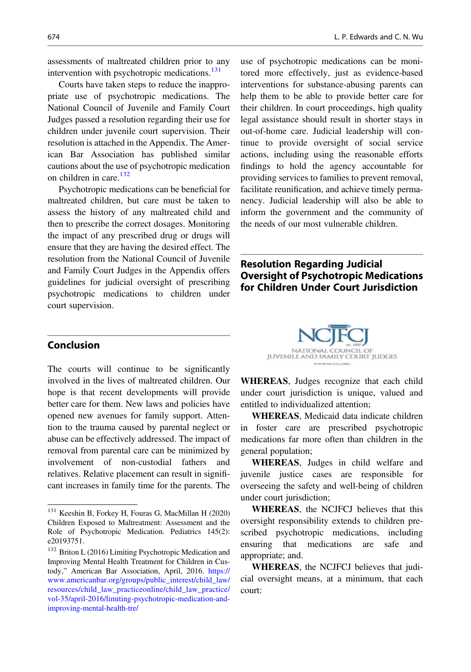assessments of maltreated children prior to any intervention with psychotropic medications.<sup>131</sup>

Courts have taken steps to reduce the inappropriate use of psychotropic medications. The National Council of Juvenile and Family Court Judges passed a resolution regarding their use for children under juvenile court supervision. Their resolution is attached in the Appendix. The American Bar Association has published similar cautions about the use of psychotropic medication on children in care.<sup>132</sup>

Psychotropic medications can be beneficial for maltreated children, but care must be taken to assess the history of any maltreated child and then to prescribe the correct dosages. Monitoring the impact of any prescribed drug or drugs will ensure that they are having the desired effect. The resolution from the National Council of Juvenile and Family Court Judges in the Appendix offers guidelines for judicial oversight of prescribing psychotropic medications to children under court supervision.

use of psychotropic medications can be monitored more effectively, just as evidence-based interventions for substance-abusing parents can help them to be able to provide better care for their children. In court proceedings, high quality legal assistance should result in shorter stays in out-of-home care. Judicial leadership will continue to provide oversight of social service actions, including using the reasonable efforts findings to hold the agency accountable for providing services to families to prevent removal, facilitate reunification, and achieve timely permanency. Judicial leadership will also be able to inform the government and the community of the needs of our most vulnerable children.

Resolution Regarding Judicial Oversight of Psychotropic Medications for Children Under Court Jurisdiction

#### Conclusion

The courts will continue to be significantly involved in the lives of maltreated children. Our hope is that recent developments will provide better care for them. New laws and policies have opened new avenues for family support. Attention to the trauma caused by parental neglect or abuse can be effectively addressed. The impact of removal from parental care can be minimized by involvement of non-custodial fathers and relatives. Relative placement can result in significant increases in family time for the parents. The



WHEREAS, Judges recognize that each child under court jurisdiction is unique, valued and entitled to individualized attention;

WHEREAS, Medicaid data indicate children in foster care are prescribed psychotropic medications far more often than children in the general population;

WHEREAS, Judges in child welfare and juvenile justice cases are responsible for overseeing the safety and well-being of children under court jurisdiction;

WHEREAS, the NCJFCJ believes that this oversight responsibility extends to children prescribed psychotropic medications, including ensuring that medications are safe and appropriate; and.

WHEREAS, the NCJFCJ believes that judicial oversight means, at a minimum, that each court:

<sup>131</sup> Keeshin B, Forkey H, Fouras G, MacMillan H (2020) Children Exposed to Maltreatment: Assessment and the Role of Psychotropic Medication. Pediatrics 145(2): e20193751.

<sup>&</sup>lt;sup>132</sup> Briton L (2016) Limiting Psychotropic Medication and Improving Mental Health Treatment for Children in Custody," American Bar Association, April, 2016. [https://](https://www.americanbar.org/groups/public_interest/child_law/resources/child_law_practiceonline/child_law_practice/vol-35/april-2016/limiting-psychotropic-medication-and-improving-mental-health-tre/) [www.americanbar.org/groups/public\\_interest/child\\_law/](https://www.americanbar.org/groups/public_interest/child_law/resources/child_law_practiceonline/child_law_practice/vol-35/april-2016/limiting-psychotropic-medication-and-improving-mental-health-tre/) [resources/child\\_law\\_practiceonline/child\\_law\\_practice/](https://www.americanbar.org/groups/public_interest/child_law/resources/child_law_practiceonline/child_law_practice/vol-35/april-2016/limiting-psychotropic-medication-and-improving-mental-health-tre/) [vol-35/april-2016/limiting-psychotropic-medication-and](https://www.americanbar.org/groups/public_interest/child_law/resources/child_law_practiceonline/child_law_practice/vol-35/april-2016/limiting-psychotropic-medication-and-improving-mental-health-tre/)[improving-mental-health-tre/](https://www.americanbar.org/groups/public_interest/child_law/resources/child_law_practiceonline/child_law_practice/vol-35/april-2016/limiting-psychotropic-medication-and-improving-mental-health-tre/)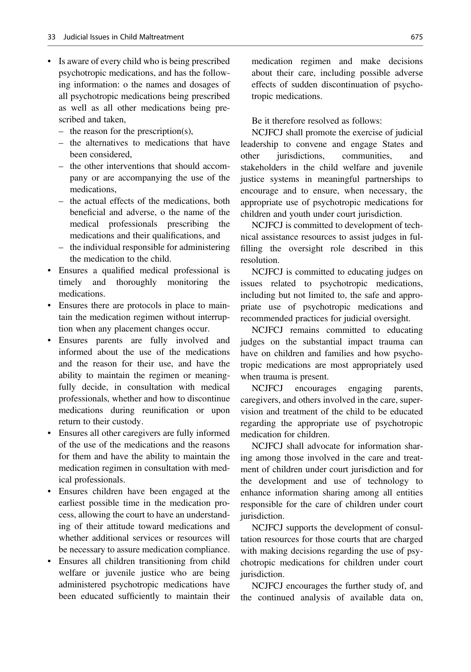- Is aware of every child who is being prescribed psychotropic medications, and has the following information: o the names and dosages of all psychotropic medications being prescribed as well as all other medications being prescribed and taken,
	- the reason for the prescription(s),
	- the alternatives to medications that have been considered,
	- the other interventions that should accompany or are accompanying the use of the medications,
	- the actual effects of the medications, both beneficial and adverse, o the name of the medical professionals prescribing the medications and their qualifications, and
	- the individual responsible for administering the medication to the child.
- Ensures a qualified medical professional is timely and thoroughly monitoring the medications.
- Ensures there are protocols in place to maintain the medication regimen without interruption when any placement changes occur.
- Ensures parents are fully involved and informed about the use of the medications and the reason for their use, and have the ability to maintain the regimen or meaningfully decide, in consultation with medical professionals, whether and how to discontinue medications during reunification or upon return to their custody.
- Ensures all other caregivers are fully informed of the use of the medications and the reasons for them and have the ability to maintain the medication regimen in consultation with medical professionals.
- Ensures children have been engaged at the earliest possible time in the medication process, allowing the court to have an understanding of their attitude toward medications and whether additional services or resources will be necessary to assure medication compliance.
- Ensures all children transitioning from child welfare or juvenile justice who are being administered psychotropic medications have been educated sufficiently to maintain their

medication regimen and make decisions about their care, including possible adverse effects of sudden discontinuation of psychotropic medications.

Be it therefore resolved as follows:

NCJFCJ shall promote the exercise of judicial leadership to convene and engage States and other jurisdictions, communities, and stakeholders in the child welfare and juvenile justice systems in meaningful partnerships to encourage and to ensure, when necessary, the appropriate use of psychotropic medications for children and youth under court jurisdiction.

NCJFCJ is committed to development of technical assistance resources to assist judges in fulfilling the oversight role described in this resolution.

NCJFCJ is committed to educating judges on issues related to psychotropic medications, including but not limited to, the safe and appropriate use of psychotropic medications and recommended practices for judicial oversight.

NCJFCJ remains committed to educating judges on the substantial impact trauma can have on children and families and how psychotropic medications are most appropriately used when trauma is present.

NCJFCJ encourages engaging parents, caregivers, and others involved in the care, supervision and treatment of the child to be educated regarding the appropriate use of psychotropic medication for children.

NCJFCJ shall advocate for information sharing among those involved in the care and treatment of children under court jurisdiction and for the development and use of technology to enhance information sharing among all entities responsible for the care of children under court jurisdiction.

NCJFCJ supports the development of consultation resources for those courts that are charged with making decisions regarding the use of psychotropic medications for children under court jurisdiction.

NCJFCJ encourages the further study of, and the continued analysis of available data on,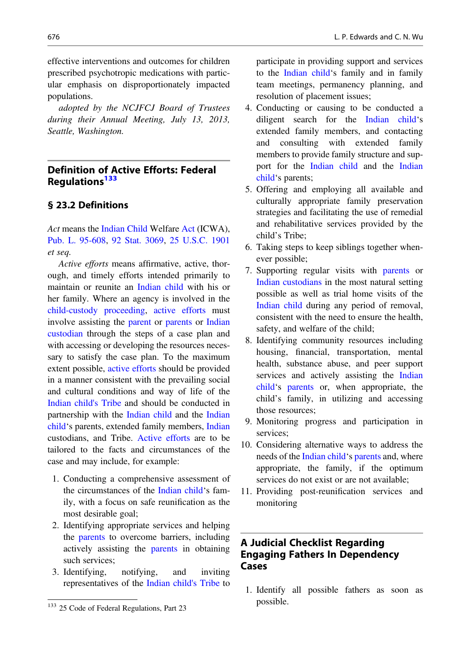effective interventions and outcomes for children prescribed psychotropic medications with particular emphasis on disproportionately impacted populations.

adopted by the NCJFCJ Board of Trustees during their Annual Meeting, July 13, 2013, Seattle, Washington.

# Definition of Active Efforts: Federal Regulations<sup>133</sup>

## § 23.2 Definitions

Act means the [Indian Child](https://www.law.cornell.edu/definitions/index.php?width=840&height=800&iframe=true&def_id=00aa7f862215c1eda45758925c993cf1&term_occur=999&term_src=Title:25:Chapter:I:Subchapter:D:Part:23:Subpart:A:23.2) Welfare [Act](https://www.law.cornell.edu/definitions/index.php?width=840&height=800&iframe=true&def_id=61126ec28926d7d81fe80dacdc8772d4&term_occur=999&term_src=Title:25:Chapter:I:Subchapter:D:Part:23:Subpart:A:23.2) (ICWA), [Pub. L. 95-608,](https://www.law.cornell.edu/rio/citation/Pub._L._95-608) [92 Stat. 3069,](https://www.law.cornell.edu/rio/citation/92_Stat._3069) [25 U.S.C. 1901](https://www.law.cornell.edu/uscode/text/25/1901) et seq.

Active efforts means affirmative, active, thorough, and timely efforts intended primarily to maintain or reunite an [Indian child](https://www.law.cornell.edu/definitions/index.php?width=840&height=800&iframe=true&def_id=00aa7f862215c1eda45758925c993cf1&term_occur=999&term_src=Title:25:Chapter:I:Subchapter:D:Part:23:Subpart:A:23.2) with his or her family. Where an agency is involved in the [child-custody proceeding,](https://www.law.cornell.edu/definitions/index.php?width=840&height=800&iframe=true&def_id=70c8b16300ad17fc3f599c2636727b28&term_occur=999&term_src=Title:25:Chapter:I:Subchapter:D:Part:23:Subpart:A:23.2) [active efforts](https://www.law.cornell.edu/definitions/index.php?width=840&height=800&iframe=true&def_id=485d98378e0f8f0ce930dc0f785bc06d&term_occur=999&term_src=Title:25:Chapter:I:Subchapter:D:Part:23:Subpart:A:23.2) must involve assisting the [parent](https://www.law.cornell.edu/definitions/index.php?width=840&height=800&iframe=true&def_id=70397c52d9159d77c9bcf549a9ffff00&term_occur=999&term_src=Title:25:Chapter:I:Subchapter:D:Part:23:Subpart:A:23.2) or [parents](https://www.law.cornell.edu/definitions/index.php?width=840&height=800&iframe=true&def_id=70397c52d9159d77c9bcf549a9ffff00&term_occur=999&term_src=Title:25:Chapter:I:Subchapter:D:Part:23:Subpart:A:23.2) or [Indian](https://www.law.cornell.edu/definitions/index.php?width=840&height=800&iframe=true&def_id=ac3785fd77eba56509876c441ced7509&term_occur=999&term_src=Title:25:Chapter:I:Subchapter:D:Part:23:Subpart:A:23.2) [custodian](https://www.law.cornell.edu/definitions/index.php?width=840&height=800&iframe=true&def_id=ac3785fd77eba56509876c441ced7509&term_occur=999&term_src=Title:25:Chapter:I:Subchapter:D:Part:23:Subpart:A:23.2) through the steps of a case plan and with accessing or developing the resources necessary to satisfy the case plan. To the maximum extent possible, [active efforts](https://www.law.cornell.edu/definitions/index.php?width=840&height=800&iframe=true&def_id=485d98378e0f8f0ce930dc0f785bc06d&term_occur=999&term_src=Title:25:Chapter:I:Subchapter:D:Part:23:Subpart:A:23.2) should be provided in a manner consistent with the prevailing social and cultural conditions and way of life of the [Indian child's Tribe](https://www.law.cornell.edu/definitions/index.php?width=840&height=800&iframe=true&def_id=6b33d60c288c1858ec43efee4c9f4c3e&term_occur=999&term_src=Title:25:Chapter:I:Subchapter:D:Part:23:Subpart:A:23.2) and should be conducted in partnership with the [Indian child](https://www.law.cornell.edu/definitions/index.php?width=840&height=800&iframe=true&def_id=00aa7f862215c1eda45758925c993cf1&term_occur=999&term_src=Title:25:Chapter:I:Subchapter:D:Part:23:Subpart:A:23.2) and the [Indian](https://www.law.cornell.edu/definitions/index.php?width=840&height=800&iframe=true&def_id=00aa7f862215c1eda45758925c993cf1&term_occur=999&term_src=Title:25:Chapter:I:Subchapter:D:Part:23:Subpart:A:23.2) [child](https://www.law.cornell.edu/definitions/index.php?width=840&height=800&iframe=true&def_id=00aa7f862215c1eda45758925c993cf1&term_occur=999&term_src=Title:25:Chapter:I:Subchapter:D:Part:23:Subpart:A:23.2)'s parents, extended family members, [Indian](https://www.law.cornell.edu/definitions/index.php?width=840&height=800&iframe=true&def_id=452b5a2735792eb3f7340821fd13fecb&term_occur=999&term_src=Title:25:Chapter:I:Subchapter:D:Part:23:Subpart:A:23.2) custodians, and Tribe. [Active efforts](https://www.law.cornell.edu/definitions/index.php?width=840&height=800&iframe=true&def_id=485d98378e0f8f0ce930dc0f785bc06d&term_occur=999&term_src=Title:25:Chapter:I:Subchapter:D:Part:23:Subpart:A:23.2) are to be tailored to the facts and circumstances of the case and may include, for example:

- 1. Conducting a comprehensive assessment of the circumstances of the [Indian child](https://www.law.cornell.edu/definitions/index.php?width=840&height=800&iframe=true&def_id=00aa7f862215c1eda45758925c993cf1&term_occur=999&term_src=Title:25:Chapter:I:Subchapter:D:Part:23:Subpart:A:23.2)'s family, with a focus on safe reunification as the most desirable goal;
- 2. Identifying appropriate services and helping the [parents](https://www.law.cornell.edu/definitions/index.php?width=840&height=800&iframe=true&def_id=70397c52d9159d77c9bcf549a9ffff00&term_occur=999&term_src=Title:25:Chapter:I:Subchapter:D:Part:23:Subpart:A:23.2) to overcome barriers, including actively assisting the [parents](https://www.law.cornell.edu/definitions/index.php?width=840&height=800&iframe=true&def_id=70397c52d9159d77c9bcf549a9ffff00&term_occur=999&term_src=Title:25:Chapter:I:Subchapter:D:Part:23:Subpart:A:23.2) in obtaining such services;
- 3. Identifying, notifying, and inviting representatives of the [Indian child's Tribe](https://www.law.cornell.edu/definitions/index.php?width=840&height=800&iframe=true&def_id=6b33d60c288c1858ec43efee4c9f4c3e&term_occur=999&term_src=Title:25:Chapter:I:Subchapter:D:Part:23:Subpart:A:23.2) to

participate in providing support and services to the [Indian child](https://www.law.cornell.edu/definitions/index.php?width=840&height=800&iframe=true&def_id=00aa7f862215c1eda45758925c993cf1&term_occur=999&term_src=Title:25:Chapter:I:Subchapter:D:Part:23:Subpart:A:23.2)'s family and in family team meetings, permanency planning, and resolution of placement issues;

- 4. Conducting or causing to be conducted a diligent search for the [Indian child](https://www.law.cornell.edu/definitions/index.php?width=840&height=800&iframe=true&def_id=00aa7f862215c1eda45758925c993cf1&term_occur=999&term_src=Title:25:Chapter:I:Subchapter:D:Part:23:Subpart:A:23.2)'s extended family members, and contacting and consulting with extended family members to provide family structure and support for the [Indian child](https://www.law.cornell.edu/definitions/index.php?width=840&height=800&iframe=true&def_id=00aa7f862215c1eda45758925c993cf1&term_occur=999&term_src=Title:25:Chapter:I:Subchapter:D:Part:23:Subpart:A:23.2) and the [Indian](https://www.law.cornell.edu/definitions/index.php?width=840&height=800&iframe=true&def_id=00aa7f862215c1eda45758925c993cf1&term_occur=999&term_src=Title:25:Chapter:I:Subchapter:D:Part:23:Subpart:A:23.2) [child](https://www.law.cornell.edu/definitions/index.php?width=840&height=800&iframe=true&def_id=00aa7f862215c1eda45758925c993cf1&term_occur=999&term_src=Title:25:Chapter:I:Subchapter:D:Part:23:Subpart:A:23.2)'s parents;
- 5. Offering and employing all available and culturally appropriate family preservation strategies and facilitating the use of remedial and rehabilitative services provided by the child's Tribe;
- 6. Taking steps to keep siblings together whenever possible;
- 7. Supporting regular visits with [parents](https://www.law.cornell.edu/definitions/index.php?width=840&height=800&iframe=true&def_id=70397c52d9159d77c9bcf549a9ffff00&term_occur=999&term_src=Title:25:Chapter:I:Subchapter:D:Part:23:Subpart:A:23.2) or [Indian custodians](https://www.law.cornell.edu/definitions/index.php?width=840&height=800&iframe=true&def_id=ac3785fd77eba56509876c441ced7509&term_occur=999&term_src=Title:25:Chapter:I:Subchapter:D:Part:23:Subpart:A:23.2) in the most natural setting possible as well as trial home visits of the [Indian child](https://www.law.cornell.edu/definitions/index.php?width=840&height=800&iframe=true&def_id=00aa7f862215c1eda45758925c993cf1&term_occur=999&term_src=Title:25:Chapter:I:Subchapter:D:Part:23:Subpart:A:23.2) during any period of removal, consistent with the need to ensure the health, safety, and welfare of the child;
- 8. Identifying community resources including housing, financial, transportation, mental health, substance abuse, and peer support services and actively assisting the [Indian](https://www.law.cornell.edu/definitions/index.php?width=840&height=800&iframe=true&def_id=00aa7f862215c1eda45758925c993cf1&term_occur=999&term_src=Title:25:Chapter:I:Subchapter:D:Part:23:Subpart:A:23.2) [child](https://www.law.cornell.edu/definitions/index.php?width=840&height=800&iframe=true&def_id=00aa7f862215c1eda45758925c993cf1&term_occur=999&term_src=Title:25:Chapter:I:Subchapter:D:Part:23:Subpart:A:23.2)'s [parents](https://www.law.cornell.edu/definitions/index.php?width=840&height=800&iframe=true&def_id=70397c52d9159d77c9bcf549a9ffff00&term_occur=999&term_src=Title:25:Chapter:I:Subchapter:D:Part:23:Subpart:A:23.2) or, when appropriate, the child's family, in utilizing and accessing those resources;
- 9. Monitoring progress and participation in services;
- 10. Considering alternative ways to address the needs of the [Indian child](https://www.law.cornell.edu/definitions/index.php?width=840&height=800&iframe=true&def_id=00aa7f862215c1eda45758925c993cf1&term_occur=999&term_src=Title:25:Chapter:I:Subchapter:D:Part:23:Subpart:A:23.2)'s [parents](https://www.law.cornell.edu/definitions/index.php?width=840&height=800&iframe=true&def_id=70397c52d9159d77c9bcf549a9ffff00&term_occur=999&term_src=Title:25:Chapter:I:Subchapter:D:Part:23:Subpart:A:23.2) and, where appropriate, the family, if the optimum services do not exist or are not available;
- 11. Providing post-reunification services and monitoring

# A Judicial Checklist Regarding Engaging Fathers In Dependency Cases

1. Identify all possible fathers as soon as

 $\overline{133}$  25 Code of Federal Regulations, Part 23 possible.